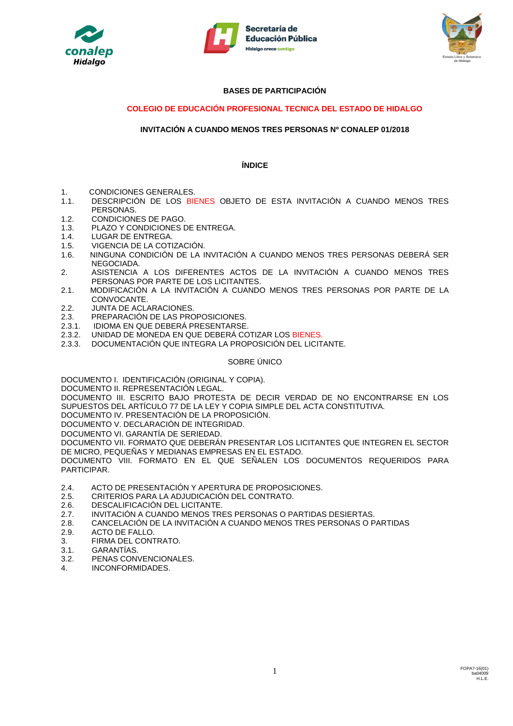





# **BASES DE PARTICIPACIÓN**

# **COLEGIO DE EDUCACIÓN PROFESIONAL TECNICA DEL ESTADO DE HIDALGO**

# **INVITACIÓN A CUANDO MENOS TRES PERSONAS Nº CONALEP 01/2018**

## **ÍNDICE**

- 1. CONDICIONES GENERALES.
- 1.1. DESCRIPCIÓN DE LOS BIENES OBJETO DE ESTA INVITACIÓN A CUANDO MENOS TRES PERSONAS.
- 1.2. CONDICIONES DE PAGO.
- 1.3. PLAZO Y CONDICIONES DE ENTREGA.
- 1.4. LUGAR DE ENTREGA.
- 1.5. VIGENCIA DE LA COTIZACIÓN.
- 1.6. NINGUNA CONDICIÓN DE LA INVITACIÓN A CUANDO MENOS TRES PERSONAS DEBERÁ SER NEGOCIADA.
- 2. ASISTENCIA A LOS DIFERENTES ACTOS DE LA INVITACIÓN A CUANDO MENOS TRES PERSONAS POR PARTE DE LOS LICITANTES.
- 2.1. MODIFICACIÓN A LA INVITACIÓN A CUANDO MENOS TRES PERSONAS POR PARTE DE LA CONVOCANTE.
- 2.2. JUNTA DE ACLARACIONES.
- 2.3. PREPARACIÓN DE LAS PROPOSICIONES.
- 2.3.1. IDIOMA EN QUE DEBERÁ PRESENTARSE.<br>2.3.2. UNIDAD DE MONEDA EN QUE DEBERÁ CO
- 2.3.2. UNIDAD DE MONEDA EN QUE DEBERÁ COTIZAR LOS BIENES.
- 2.3.3. DOCUMENTACIÓN QUE INTEGRA LA PROPOSICIÓN DEL LICITANTE.

## SOBRE ÚNICO

DOCUMENTO I. IDENTIFICACIÓN (ORIGINAL Y COPIA).

DOCUMENTO II. REPRESENTACIÓN LEGAL.

DOCUMENTO III. ESCRITO BAJO PROTESTA DE DECIR VERDAD DE NO ENCONTRARSE EN LOS SUPUESTOS DEL ARTÍCULO 77 DE LA LEY Y COPIA SIMPLE DEL ACTA CONSTITUTIVA.

DOCUMENTO IV. PRESENTACIÓN DE LA PROPOSICIÓN.

DOCUMENTO V. DECLARACIÓN DE INTEGRIDAD.

DOCUMENTO VI. GARANTÍA DE SERIEDAD.

DOCUMENTO VII. FORMATO QUE DEBERÁN PRESENTAR LOS LICITANTES QUE INTEGREN EL SECTOR DE MICRO, PEQUEÑAS Y MEDIANAS EMPRESAS EN EL ESTADO.

DOCUMENTO VIII. FORMATO EN EL QUE SEÑALEN LOS DOCUMENTOS REQUERIDOS PARA PARTICIPAR.

- 2.4. ACTO DE PRESENTACIÓN Y APERTURA DE PROPOSICIONES.
- 2.5. CRITERIOS PARA LA ADJUDICACIÓN DEL CONTRATO.
- 2.6. DESCALIFICACIÓN DEL LICITANTE.
- 2.7. INVITACIÓN A CUANDO MENOS TRES PERSONAS O PARTIDAS DESIERTAS.
- 2.8. CANCELACIÓN DE LA INVITACIÓN A CUANDO MENOS TRES PERSONAS O PARTIDAS
- 2.9. ACTO DE FALLO.
- 3. FIRMA DEL CONTRATO.
- 3.1. GARANTÍAS.
- 3.2. PENAS CONVENCIONALES.
- 4. INCONFORMIDADES.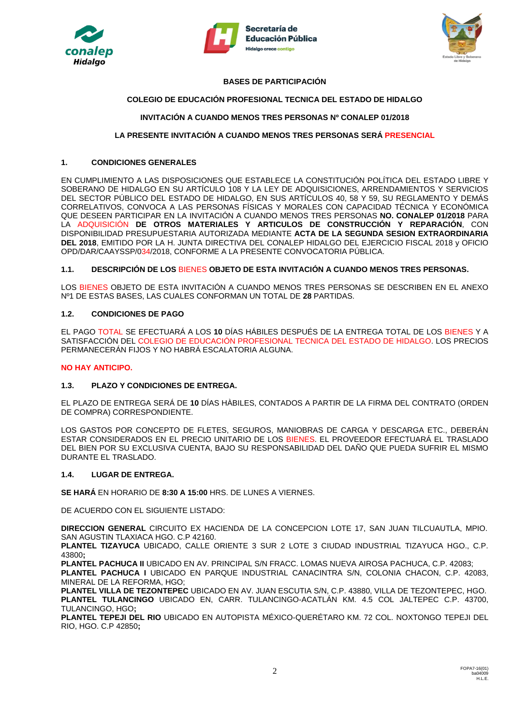





# **BASES DE PARTICIPACIÓN**

# **COLEGIO DE EDUCACIÓN PROFESIONAL TECNICA DEL ESTADO DE HIDALGO**

# **INVITACIÓN A CUANDO MENOS TRES PERSONAS Nº CONALEP 01/2018**

## **LA PRESENTE INVITACIÓN A CUANDO MENOS TRES PERSONAS SERÁ PRESENCIAL**

#### **1. CONDICIONES GENERALES**

EN CUMPLIMIENTO A LAS DISPOSICIONES QUE ESTABLECE LA CONSTITUCIÓN POLÍTICA DEL ESTADO LIBRE Y SOBERANO DE HIDALGO EN SU ARTÍCULO 108 Y LA LEY DE ADQUISICIONES, ARRENDAMIENTOS Y SERVICIOS DEL SECTOR PÚBLICO DEL ESTADO DE HIDALGO, EN SUS ARTÍCULOS 40, 58 Y 59, SU REGLAMENTO Y DEMÁS CORRELATIVOS, CONVOCA A LAS PERSONAS FÍSICAS Y MORALES CON CAPACIDAD TÉCNICA Y ECONÓMICA QUE DESEEN PARTICIPAR EN LA INVITACIÓN A CUANDO MENOS TRES PERSONAS **NO. CONALEP 01/2018** PARA LA ADQUISICIÓN **DE OTROS MATERIALES Y ARTICULOS DE CONSTRUCCIÓN Y REPARACIÓN**, CON DISPONIBILIDAD PRESUPUESTARIA AUTORIZADA MEDIANTE **ACTA DE LA SEGUNDA SESION EXTRAORDINARIA DEL 2018**, EMITIDO POR LA H. JUNTA DIRECTIVA DEL CONALEP HIDALGO DEL EJERCICIO FISCAL 2018 y OFICIO OPD/DAR/CAAYSSP/034/2018, CONFORME A LA PRESENTE CONVOCATORIA PÚBLICA.

#### **1.1. DESCRIPCIÓN DE LOS** BIENES **OBJETO DE ESTA INVITACIÓN A CUANDO MENOS TRES PERSONAS.**

LOS BIENES OBJETO DE ESTA INVITACIÓN A CUANDO MENOS TRES PERSONAS SE DESCRIBEN EN EL ANEXO Nº1 DE ESTAS BASES, LAS CUALES CONFORMAN UN TOTAL DE **28** PARTIDAS.

#### **1.2. CONDICIONES DE PAGO**

EL PAGO TOTAL SE EFECTUARÁ A LOS **10** DÍAS HÁBILES DESPUÉS DE LA ENTREGA TOTAL DE LOS BIENES Y A SATISFACCIÓN DEL COLEGIO DE EDUCACIÓN PROFESIONAL TECNICA DEL ESTADO DE HIDALGO. LOS PRECIOS PERMANECERÁN FIJOS Y NO HABRÁ ESCALATORIA ALGUNA.

#### **NO HAY ANTICIPO.**

## **1.3. PLAZO Y CONDICIONES DE ENTREGA.**

EL PLAZO DE ENTREGA SERÁ DE **10** DÍAS HÀBILES, CONTADOS A PARTIR DE LA FIRMA DEL CONTRATO (ORDEN DE COMPRA) CORRESPONDIENTE.

LOS GASTOS POR CONCEPTO DE FLETES, SEGUROS, MANIOBRAS DE CARGA Y DESCARGA ETC., DEBERÁN ESTAR CONSIDERADOS EN EL PRECIO UNITARIO DE LOS BIENES. EL PROVEEDOR EFECTUARÁ EL TRASLADO DEL BIEN POR SU EXCLUSIVA CUENTA, BAJO SU RESPONSABILIDAD DEL DAÑO QUE PUEDA SUFRIR EL MISMO DURANTE EL TRASLADO.

## **1.4. LUGAR DE ENTREGA.**

**SE HARÁ** EN HORARIO DE **8:30 A 15:00** HRS. DE LUNES A VIERNES.

DE ACUERDO CON EL SIGUIENTE LISTADO:

**DIRECCION GENERAL** CIRCUITO EX HACIENDA DE LA CONCEPCION LOTE 17, SAN JUAN TILCUAUTLA, MPIO. SAN AGUSTIN TLAXIACA HGO. C.P 42160.

**PLANTEL TIZAYUCA** UBICADO, CALLE ORIENTE 3 SUR 2 LOTE 3 CIUDAD INDUSTRIAL TIZAYUCA HGO., C.P. 43800**;** 

**PLANTEL PACHUCA II** UBICADO EN AV. PRINCIPAL S/N FRACC. LOMAS NUEVA AIROSA PACHUCA, C.P. 42083;

**PLANTEL PACHUCA I** UBICADO EN PARQUE INDUSTRIAL CANACINTRA S/N, COLONIA CHACON, C.P. 42083, MINERAL DE LA REFORMA, HGO;

**PLANTEL VILLA DE TEZONTEPEC** UBICADO EN AV. JUAN ESCUTIA S/N, C.P. 43880, VILLA DE TEZONTEPEC, HGO. **PLANTEL TULANCINGO** UBICADO EN, CARR. TULANCINGO-ACATLÁN KM. 4.5 COL JALTEPEC C.P. 43700, TULANCINGO, HGO**;**

**PLANTEL TEPEJI DEL RIO** UBICADO EN AUTOPISTA MÉXICO-QUERÉTARO KM. 72 COL. NOXTONGO TEPEJI DEL RIO, HGO. C.P 42850**;**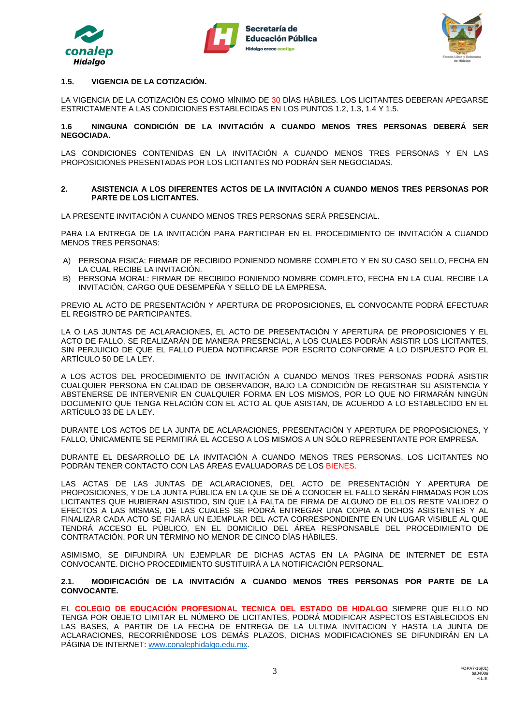





## **1.5. VIGENCIA DE LA COTIZACIÓN.**

LA VIGENCIA DE LA COTIZACIÓN ES COMO MÍNIMO DE 30 DÍAS HÁBILES. LOS LICITANTES DEBERAN APEGARSE ESTRICTAMENTE A LAS CONDICIONES ESTABLECIDAS EN LOS PUNTOS 1.2, 1.3, 1.4 Y 1.5.

#### **1.6 NINGUNA CONDICIÓN DE LA INVITACIÓN A CUANDO MENOS TRES PERSONAS DEBERÁ SER NEGOCIADA.**

LAS CONDICIONES CONTENIDAS EN LA INVITACIÓN A CUANDO MENOS TRES PERSONAS Y EN LAS PROPOSICIONES PRESENTADAS POR LOS LICITANTES NO PODRÁN SER NEGOCIADAS.

#### **2. ASISTENCIA A LOS DIFERENTES ACTOS DE LA INVITACIÓN A CUANDO MENOS TRES PERSONAS POR PARTE DE LOS LICITANTES.**

LA PRESENTE INVITACIÓN A CUANDO MENOS TRES PERSONAS SERÁ PRESENCIAL.

PARA LA ENTREGA DE LA INVITACIÓN PARA PARTICIPAR EN EL PROCEDIMIENTO DE INVITACIÓN A CUANDO MENOS TRES PERSONAS:

- A) PERSONA FISICA: FIRMAR DE RECIBIDO PONIENDO NOMBRE COMPLETO Y EN SU CASO SELLO, FECHA EN LA CUAL RECIBE LA INVITACIÓN.
- B) PERSONA MORAL: FIRMAR DE RECIBIDO PONIENDO NOMBRE COMPLETO, FECHA EN LA CUAL RECIBE LA INVITACIÓN, CARGO QUE DESEMPEÑA Y SELLO DE LA EMPRESA.

PREVIO AL ACTO DE PRESENTACIÓN Y APERTURA DE PROPOSICIONES, EL CONVOCANTE PODRÁ EFECTUAR EL REGISTRO DE PARTICIPANTES.

LA O LAS JUNTAS DE ACLARACIONES, EL ACTO DE PRESENTACIÓN Y APERTURA DE PROPOSICIONES Y EL ACTO DE FALLO, SE REALIZARÁN DE MANERA PRESENCIAL, A LOS CUALES PODRÁN ASISTIR LOS LICITANTES, SIN PERJUICIO DE QUE EL FALLO PUEDA NOTIFICARSE POR ESCRITO CONFORME A LO DISPUESTO POR EL ARTÍCULO 50 DE LA LEY.

A LOS ACTOS DEL PROCEDIMIENTO DE INVITACIÓN A CUANDO MENOS TRES PERSONAS PODRÁ ASISTIR CUALQUIER PERSONA EN CALIDAD DE OBSERVADOR, BAJO LA CONDICIÓN DE REGISTRAR SU ASISTENCIA Y ABSTENERSE DE INTERVENIR EN CUALQUIER FORMA EN LOS MISMOS, POR LO QUE NO FIRMARÁN NINGÚN DOCUMENTO QUE TENGA RELACIÓN CON EL ACTO AL QUE ASISTAN, DE ACUERDO A LO ESTABLECIDO EN EL ARTÍCULO 33 DE LA LEY.

DURANTE LOS ACTOS DE LA JUNTA DE ACLARACIONES, PRESENTACIÓN Y APERTURA DE PROPOSICIONES, Y FALLO, ÚNICAMENTE SE PERMITIRÁ EL ACCESO A LOS MISMOS A UN SÓLO REPRESENTANTE POR EMPRESA.

DURANTE EL DESARROLLO DE LA INVITACIÓN A CUANDO MENOS TRES PERSONAS, LOS LICITANTES NO PODRÁN TENER CONTACTO CON LAS ÁREAS EVALUADORAS DE LOS BIENES.

LAS ACTAS DE LAS JUNTAS DE ACLARACIONES, DEL ACTO DE PRESENTACIÓN Y APERTURA DE PROPOSICIONES, Y DE LA JUNTA PÚBLICA EN LA QUE SE DÉ A CONOCER EL FALLO SERÁN FIRMADAS POR LOS LICITANTES QUE HUBIERAN ASISTIDO, SIN QUE LA FALTA DE FIRMA DE ALGUNO DE ELLOS RESTE VALIDEZ O EFECTOS A LAS MISMAS, DE LAS CUALES SE PODRÁ ENTREGAR UNA COPIA A DICHOS ASISTENTES Y AL FINALIZAR CADA ACTO SE FIJARÁ UN EJEMPLAR DEL ACTA CORRESPONDIENTE EN UN LUGAR VISIBLE AL QUE TENDRÁ ACCESO EL PÚBLICO, EN EL DOMICILIO DEL ÁREA RESPONSABLE DEL PROCEDIMIENTO DE CONTRATACIÓN, POR UN TÉRMINO NO MENOR DE CINCO DÍAS HÁBILES.

ASIMISMO, SE DIFUNDIRÁ UN EJEMPLAR DE DICHAS ACTAS EN LA PÁGINA DE INTERNET DE ESTA CONVOCANTE. DICHO PROCEDIMIENTO SUSTITUIRÁ A LA NOTIFICACIÓN PERSONAL.

#### **2.1. MODIFICACIÓN DE LA INVITACIÓN A CUANDO MENOS TRES PERSONAS POR PARTE DE LA CONVOCANTE.**

EL **COLEGIO DE EDUCACIÓN PROFESIONAL TECNICA DEL ESTADO DE HIDALGO** SIEMPRE QUE ELLO NO TENGA POR OBJETO LIMITAR EL NÚMERO DE LICITANTES, PODRÁ MODIFICAR ASPECTOS ESTABLECIDOS EN LAS BASES, A PARTIR DE LA FECHA DE ENTREGA DE LA ULTIMA INVITACION Y HASTA LA JUNTA DE ACLARACIONES, RECORRIÉNDOSE LOS DEMÁS PLAZOS, DICHAS MODIFICACIONES SE DIFUNDIRÁN EN LA PÁGINA DE INTERNET: [www.conalephidalgo.edu.mx.](http://www.conalephidalgo.edu.mx/)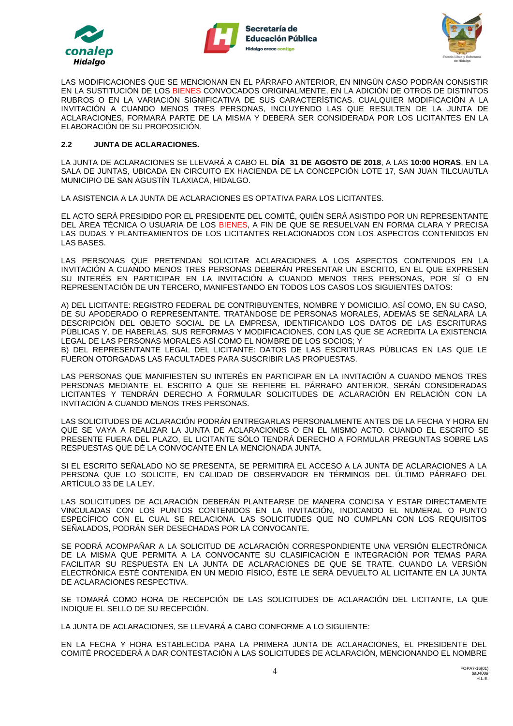





LAS MODIFICACIONES QUE SE MENCIONAN EN EL PÁRRAFO ANTERIOR, EN NINGÚN CASO PODRÁN CONSISTIR EN LA SUSTITUCIÓN DE LOS BIENES CONVOCADOS ORIGINALMENTE, EN LA ADICIÓN DE OTROS DE DISTINTOS RUBROS O EN LA VARIACIÓN SIGNIFICATIVA DE SUS CARACTERÍSTICAS. CUALQUIER MODIFICACIÓN A LA INVITACIÓN A CUANDO MENOS TRES PERSONAS, INCLUYENDO LAS QUE RESULTEN DE LA JUNTA DE ACLARACIONES, FORMARÁ PARTE DE LA MISMA Y DEBERÁ SER CONSIDERADA POR LOS LICITANTES EN LA ELABORACIÓN DE SU PROPOSICIÓN.

## **2.2 JUNTA DE ACLARACIONES.**

LA JUNTA DE ACLARACIONES SE LLEVARÁ A CABO EL **DÍA 31 DE AGOSTO DE 2018**, A LAS **10:00 HORAS**, EN LA SALA DE JUNTAS, UBICADA EN CIRCUITO EX HACIENDA DE LA CONCEPCIÓN LOTE 17, SAN JUAN TILCUAUTLA MUNICIPIO DE SAN AGUSTÍN TLAXIACA, HIDALGO.

LA ASISTENCIA A LA JUNTA DE ACLARACIONES ES OPTATIVA PARA LOS LICITANTES.

EL ACTO SERÁ PRESIDIDO POR EL PRESIDENTE DEL COMITÉ, QUIÉN SERÁ ASISTIDO POR UN REPRESENTANTE DEL ÁREA TÉCNICA O USUARIA DE LOS BIENES, A FIN DE QUE SE RESUELVAN EN FORMA CLARA Y PRECISA LAS DUDAS Y PLANTEAMIENTOS DE LOS LICITANTES RELACIONADOS CON LOS ASPECTOS CONTENIDOS EN LAS BASES.

LAS PERSONAS QUE PRETENDAN SOLICITAR ACLARACIONES A LOS ASPECTOS CONTENIDOS EN LA INVITACIÓN A CUANDO MENOS TRES PERSONAS DEBERÁN PRESENTAR UN ESCRITO, EN EL QUE EXPRESEN SU INTERÉS EN PARTICIPAR EN LA INVITACIÓN A CUANDO MENOS TRES PERSONAS, POR SÍ O EN REPRESENTACIÓN DE UN TERCERO, MANIFESTANDO EN TODOS LOS CASOS LOS SIGUIENTES DATOS:

A) DEL LICITANTE: REGISTRO FEDERAL DE CONTRIBUYENTES, NOMBRE Y DOMICILIO, ASÍ COMO, EN SU CASO, DE SU APODERADO O REPRESENTANTE. TRATÁNDOSE DE PERSONAS MORALES, ADEMÁS SE SEÑALARÁ LA DESCRIPCIÓN DEL OBJETO SOCIAL DE LA EMPRESA, IDENTIFICANDO LOS DATOS DE LAS ESCRITURAS PÚBLICAS Y, DE HABERLAS, SUS REFORMAS Y MODIFICACIONES, CON LAS QUE SE ACREDITA LA EXISTENCIA LEGAL DE LAS PERSONAS MORALES ASÍ COMO EL NOMBRE DE LOS SOCIOS; Y

B) DEL REPRESENTANTE LEGAL DEL LICITANTE: DATOS DE LAS ESCRITURAS PÚBLICAS EN LAS QUE LE FUERON OTORGADAS LAS FACULTADES PARA SUSCRIBIR LAS PROPUESTAS.

LAS PERSONAS QUE MANIFIESTEN SU INTERÉS EN PARTICIPAR EN LA INVITACIÓN A CUANDO MENOS TRES PERSONAS MEDIANTE EL ESCRITO A QUE SE REFIERE EL PÁRRAFO ANTERIOR, SERÁN CONSIDERADAS LICITANTES Y TENDRÁN DERECHO A FORMULAR SOLICITUDES DE ACLARACIÓN EN RELACIÓN CON LA INVITACIÓN A CUANDO MENOS TRES PERSONAS.

LAS SOLICITUDES DE ACLARACIÓN PODRÁN ENTREGARLAS PERSONALMENTE ANTES DE LA FECHA Y HORA EN QUE SE VAYA A REALIZAR LA JUNTA DE ACLARACIONES O EN EL MISMO ACTO. CUANDO EL ESCRITO SE PRESENTE FUERA DEL PLAZO, EL LICITANTE SÓLO TENDRÁ DERECHO A FORMULAR PREGUNTAS SOBRE LAS RESPUESTAS QUE DÉ LA CONVOCANTE EN LA MENCIONADA JUNTA.

SI EL ESCRITO SEÑALADO NO SE PRESENTA, SE PERMITIRÁ EL ACCESO A LA JUNTA DE ACLARACIONES A LA PERSONA QUE LO SOLICITE, EN CALIDAD DE OBSERVADOR EN TÉRMINOS DEL ÚLTIMO PÁRRAFO DEL ARTÍCULO 33 DE LA LEY.

LAS SOLICITUDES DE ACLARACIÓN DEBERÁN PLANTEARSE DE MANERA CONCISA Y ESTAR DIRECTAMENTE VINCULADAS CON LOS PUNTOS CONTENIDOS EN LA INVITACIÓN, INDICANDO EL NUMERAL O PUNTO ESPECÍFICO CON EL CUAL SE RELACIONA. LAS SOLICITUDES QUE NO CUMPLAN CON LOS REQUISITOS SEÑALADOS, PODRÁN SER DESECHADAS POR LA CONVOCANTE.

SE PODRÁ ACOMPAÑAR A LA SOLICITUD DE ACLARACIÓN CORRESPONDIENTE UNA VERSIÓN ELECTRÓNICA DE LA MISMA QUE PERMITA A LA CONVOCANTE SU CLASIFICACIÓN E INTEGRACIÓN POR TEMAS PARA FACILITAR SU RESPUESTA EN LA JUNTA DE ACLARACIONES DE QUE SE TRATE. CUANDO LA VERSIÓN ELECTRÓNICA ESTÉ CONTENIDA EN UN MEDIO FÍSICO, ÉSTE LE SERÁ DEVUELTO AL LICITANTE EN LA JUNTA DE ACLARACIONES RESPECTIVA.

SE TOMARÁ COMO HORA DE RECEPCIÓN DE LAS SOLICITUDES DE ACLARACIÓN DEL LICITANTE, LA QUE INDIQUE EL SELLO DE SU RECEPCIÓN.

LA JUNTA DE ACLARACIONES, SE LLEVARÁ A CABO CONFORME A LO SIGUIENTE:

EN LA FECHA Y HORA ESTABLECIDA PARA LA PRIMERA JUNTA DE ACLARACIONES, EL PRESIDENTE DEL COMITÉ PROCEDERÁ A DAR CONTESTACIÓN A LAS SOLICITUDES DE ACLARACIÓN, MENCIONANDO EL NOMBRE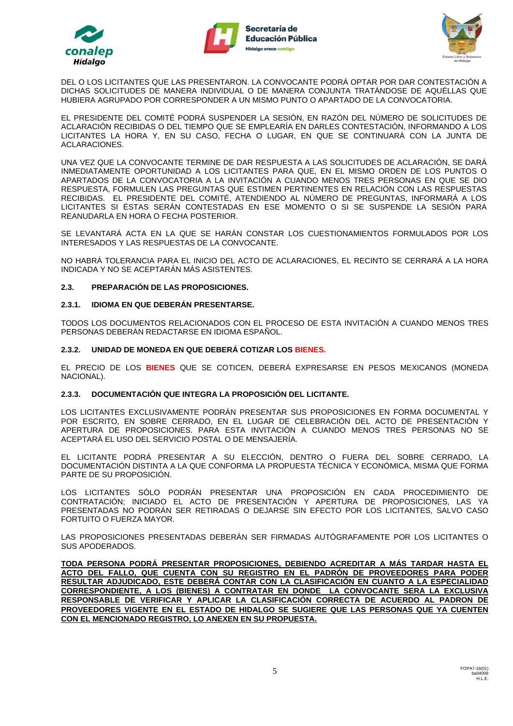





DEL O LOS LICITANTES QUE LAS PRESENTARON. LA CONVOCANTE PODRÁ OPTAR POR DAR CONTESTACIÓN A DICHAS SOLICITUDES DE MANERA INDIVIDUAL O DE MANERA CONJUNTA TRATÁNDOSE DE AQUÉLLAS QUE HUBIERA AGRUPADO POR CORRESPONDER A UN MISMO PUNTO O APARTADO DE LA CONVOCATORIA.

EL PRESIDENTE DEL COMITÉ PODRÁ SUSPENDER LA SESIÓN, EN RAZÓN DEL NÚMERO DE SOLICITUDES DE ACLARACIÓN RECIBIDAS O DEL TIEMPO QUE SE EMPLEARÍA EN DARLES CONTESTACIÓN, INFORMANDO A LOS LICITANTES LA HORA Y, EN SU CASO, FECHA O LUGAR, EN QUE SE CONTINUARÁ CON LA JUNTA DE ACLARACIONES.

UNA VEZ QUE LA CONVOCANTE TERMINE DE DAR RESPUESTA A LAS SOLICITUDES DE ACLARACIÓN, SE DARÁ INMEDIATAMENTE OPORTUNIDAD A LOS LICITANTES PARA QUE, EN EL MISMO ORDEN DE LOS PUNTOS O APARTADOS DE LA CONVOCATORIA A LA INVITACIÓN A CUANDO MENOS TRES PERSONAS EN QUE SE DIO RESPUESTA, FORMULEN LAS PREGUNTAS QUE ESTIMEN PERTINENTES EN RELACIÓN CON LAS RESPUESTAS RECIBIDAS. EL PRESIDENTE DEL COMITÉ, ATENDIENDO AL NÚMERO DE PREGUNTAS, INFORMARÁ A LOS LICITANTES SI ÉSTAS SERÁN CONTESTADAS EN ESE MOMENTO O SI SE SUSPENDE LA SESIÓN PARA REANUDARLA EN HORA O FECHA POSTERIOR.

SE LEVANTARÁ ACTA EN LA QUE SE HARÁN CONSTAR LOS CUESTIONAMIENTOS FORMULADOS POR LOS INTERESADOS Y LAS RESPUESTAS DE LA CONVOCANTE.

NO HABRÁ TOLERANCIA PARA EL INICIO DEL ACTO DE ACLARACIONES, EL RECINTO SE CERRARÁ A LA HORA INDICADA Y NO SE ACEPTARÁN MÁS ASISTENTES.

## **2.3. PREPARACIÓN DE LAS PROPOSICIONES.**

#### **2.3.1. IDIOMA EN QUE DEBERÁN PRESENTARSE.**

TODOS LOS DOCUMENTOS RELACIONADOS CON EL PROCESO DE ESTA INVITACIÓN A CUANDO MENOS TRES PERSONAS DEBERÁN REDACTARSE EN IDIOMA ESPAÑOL.

#### **2.3.2. UNIDAD DE MONEDA EN QUE DEBERÁ COTIZAR LOS BIENES.**

EL PRECIO DE LOS **BIENES** QUE SE COTICEN, DEBERÁ EXPRESARSE EN PESOS MEXICANOS (MONEDA NACIONAL).

#### **2.3.3. DOCUMENTACIÓN QUE INTEGRA LA PROPOSICIÓN DEL LICITANTE.**

LOS LICITANTES EXCLUSIVAMENTE PODRÁN PRESENTAR SUS PROPOSICIONES EN FORMA DOCUMENTAL Y POR ESCRITO, EN SOBRE CERRADO, EN EL LUGAR DE CELEBRACIÓN DEL ACTO DE PRESENTACIÓN Y APERTURA DE PROPOSICIONES. PARA ESTA INVITACIÓN A CUANDO MENOS TRES PERSONAS NO SE ACEPTARÁ EL USO DEL SERVICIO POSTAL O DE MENSAJERÍA.

EL LICITANTE PODRÁ PRESENTAR A SU ELECCIÓN, DENTRO O FUERA DEL SOBRE CERRADO, LA DOCUMENTACIÓN DISTINTA A LA QUE CONFORMA LA PROPUESTA TÉCNICA Y ECONÓMICA, MISMA QUE FORMA PARTE DE SU PROPOSICIÓN.

LOS LICITANTES SÓLO PODRÁN PRESENTAR UNA PROPOSICIÓN EN CADA PROCEDIMIENTO DE CONTRATACIÓN; INICIADO EL ACTO DE PRESENTACIÓN Y APERTURA DE PROPOSICIONES, LAS YA PRESENTADAS NO PODRÁN SER RETIRADAS O DEJARSE SIN EFECTO POR LOS LICITANTES, SALVO CASO FORTUITO O FUERZA MAYOR.

LAS PROPOSICIONES PRESENTADAS DEBERÁN SER FIRMADAS AUTÓGRAFAMENTE POR LOS LICITANTES O SUS APODERADOS.

**TODA PERSONA PODRÁ PRESENTAR PROPOSICIONES, DEBIENDO ACREDITAR A MÁS TARDAR HASTA EL ACTO DEL FALLO, QUE CUENTA CON SU REGISTRO EN EL PADRÓN DE PROVEEDORES PARA PODER RESULTAR ADJUDICADO, ESTE DEBERÁ CONTAR CON LA CLASIFICACIÓN EN CUANTO A LA ESPECIALIDAD CORRESPONDIENTE, A LOS (BIENES) A CONTRATAR EN DONDE LA CONVOCANTE SERA LA EXCLUSIVA RESPONSABLE DE VERIFICAR Y APLICAR LA CLASIFICACIÓN CORRECTA DE ACUERDO AL PADRON DE PROVEEDORES VIGENTE EN EL ESTADO DE HIDALGO SE SUGIERE QUE LAS PERSONAS QUE YA CUENTEN CON EL MENCIONADO REGISTRO, LO ANEXEN EN SU PROPUESTA.**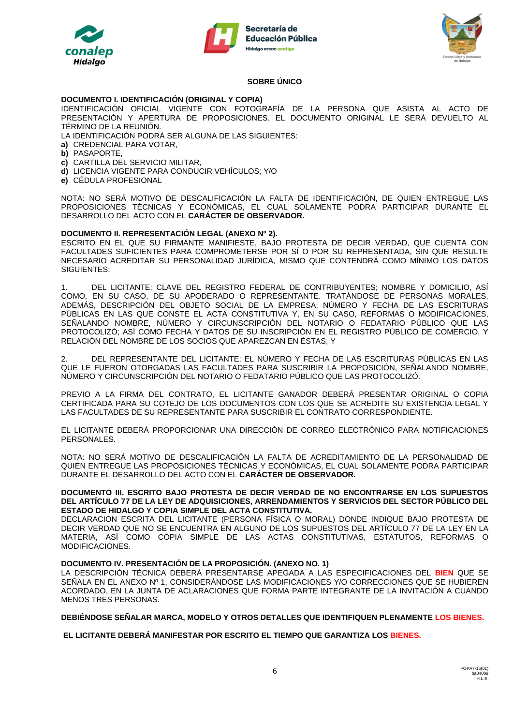





# **SOBRE ÚNICO**

## **DOCUMENTO I. IDENTIFICACIÓN (ORIGINAL Y COPIA)**

IDENTIFICACIÓN OFICIAL VIGENTE CON FOTOGRAFÍA DE LA PERSONA QUE ASISTA AL ACTO DE PRESENTACIÓN Y APERTURA DE PROPOSICIONES. EL DOCUMENTO ORIGINAL LE SERÁ DEVUELTO AL TÉRMINO DE LA REUNIÓN.

LA IDENTIFICACIÓN PODRÁ SER ALGUNA DE LAS SIGUIENTES:

- **a)** CREDENCIAL PARA VOTAR,
- **b)** PASAPORTE,
- **c)** CARTILLA DEL SERVICIO MILITAR,
- **d)** LICENCIA VIGENTE PARA CONDUCIR VEHÍCULOS; Y/O
- **e)** CÉDULA PROFESIONAL

NOTA: NO SERÁ MOTIVO DE DESCALIFICACIÓN LA FALTA DE IDENTIFICACIÓN, DE QUIEN ENTREGUE LAS PROPOSICIONES TÉCNICAS Y ECONÓMICAS, EL CUAL SOLAMENTE PODRA PARTICIPAR DURANTE EL DESARROLLO DEL ACTO CON EL **CARÁCTER DE OBSERVADOR.**

#### **DOCUMENTO II. REPRESENTACIÓN LEGAL (ANEXO Nº 2).**

ESCRITO EN EL QUE SU FIRMANTE MANIFIESTE, BAJO PROTESTA DE DECIR VERDAD, QUE CUENTA CON FACULTADES SUFICIENTES PARA COMPROMETERSE POR SÍ O POR SU REPRESENTADA, SIN QUE RESULTE NECESARIO ACREDITAR SU PERSONALIDAD JURÍDICA, MISMO QUE CONTENDRÁ COMO MÍNIMO LOS DATOS SIGUIENTES:

1. DEL LICITANTE: CLAVE DEL REGISTRO FEDERAL DE CONTRIBUYENTES; NOMBRE Y DOMICILIO, ASÍ COMO, EN SU CASO, DE SU APODERADO O REPRESENTANTE. TRATÁNDOSE DE PERSONAS MORALES, ADEMÁS, DESCRIPCIÓN DEL OBJETO SOCIAL DE LA EMPRESA; NÚMERO Y FECHA DE LAS ESCRITURAS PÚBLICAS EN LAS QUE CONSTE EL ACTA CONSTITUTIVA Y, EN SU CASO, REFORMAS O MODIFICACIONES, SEÑALANDO NOMBRE, NÚMERO Y CIRCUNSCRIPCIÓN DEL NOTARIO O FEDATARIO PÚBLICO QUE LAS PROTOCOLIZÓ; ASÍ COMO FECHA Y DATOS DE SU INSCRIPCIÓN EN EL REGISTRO PÚBLICO DE COMERCIO, Y RELACIÓN DEL NOMBRE DE LOS SOCIOS QUE APAREZCAN EN ÉSTAS; Y

2. DEL REPRESENTANTE DEL LICITANTE: EL NÚMERO Y FECHA DE LAS ESCRITURAS PÚBLICAS EN LAS QUE LE FUERON OTORGADAS LAS FACULTADES PARA SUSCRIBIR LA PROPOSICIÓN, SEÑALANDO NOMBRE, NÚMERO Y CIRCUNSCRIPCIÓN DEL NOTARIO O FEDATARIO PÚBLICO QUE LAS PROTOCOLIZÓ.

PREVIO A LA FIRMA DEL CONTRATO, EL LICITANTE GANADOR DEBERÁ PRESENTAR ORIGINAL O COPIA CERTIFICADA PARA SU COTEJO DE LOS DOCUMENTOS CON LOS QUE SE ACREDITE SU EXISTENCIA LEGAL Y LAS FACULTADES DE SU REPRESENTANTE PARA SUSCRIBIR EL CONTRATO CORRESPONDIENTE.

EL LICITANTE DEBERÁ PROPORCIONAR UNA DIRECCIÓN DE CORREO ELECTRÓNICO PARA NOTIFICACIONES PERSONALES.

NOTA: NO SERÁ MOTIVO DE DESCALIFICACIÓN LA FALTA DE ACREDITAMIENTO DE LA PERSONALIDAD DE QUIEN ENTREGUE LAS PROPOSICIONES TÉCNICAS Y ECONÓMICAS, EL CUAL SOLAMENTE PODRA PARTICIPAR DURANTE EL DESARROLLO DEL ACTO CON EL **CARÁCTER DE OBSERVADOR.**

**DOCUMENTO III. ESCRITO BAJO PROTESTA DE DECIR VERDAD DE NO ENCONTRARSE EN LOS SUPUESTOS DEL ARTÍCULO 77 DE LA LEY DE ADQUISICIONES, ARRENDAMIENTOS Y SERVICIOS DEL SECTOR PÚBLICO DEL ESTADO DE HIDALGO Y COPIA SIMPLE DEL ACTA CONSTITUTIVA.**

DECLARACION ESCRITA DEL LICITANTE (PERSONA FÍSICA O MORAL) DONDE INDIQUE BAJO PROTESTA DE DECIR VERDAD QUE NO SE ENCUENTRA EN ALGUNO DE LOS SUPUESTOS DEL ARTÍCULO 77 DE LA LEY EN LA MATERIA, ASÍ COMO COPIA SIMPLE DE LAS ACTAS CONSTITUTIVAS, ESTATUTOS, REFORMAS O MODIFICACIONES.

## **DOCUMENTO IV. PRESENTACIÓN DE LA PROPOSICIÓN. (ANEXO NO. 1)**

LA DESCRIPCIÓN TÉCNICA DEBERÁ PRESENTARSE APEGADA A LAS ESPECIFICACIONES DEL **BIEN** QUE SE SEÑALA EN EL ANEXO Nº 1, CONSIDERÁNDOSE LAS MODIFICACIONES Y/O CORRECCIONES QUE SE HUBIEREN ACORDADO, EN LA JUNTA DE ACLARACIONES QUE FORMA PARTE INTEGRANTE DE LA INVITACIÓN A CUANDO MENOS TRES PERSONAS.

**DEBIÉNDOSE SEÑALAR MARCA, MODELO Y OTROS DETALLES QUE IDENTIFIQUEN PLENAMENTE LOS BIENES.**

**EL LICITANTE DEBERÁ MANIFESTAR POR ESCRITO EL TIEMPO QUE GARANTIZA LOS BIENES.**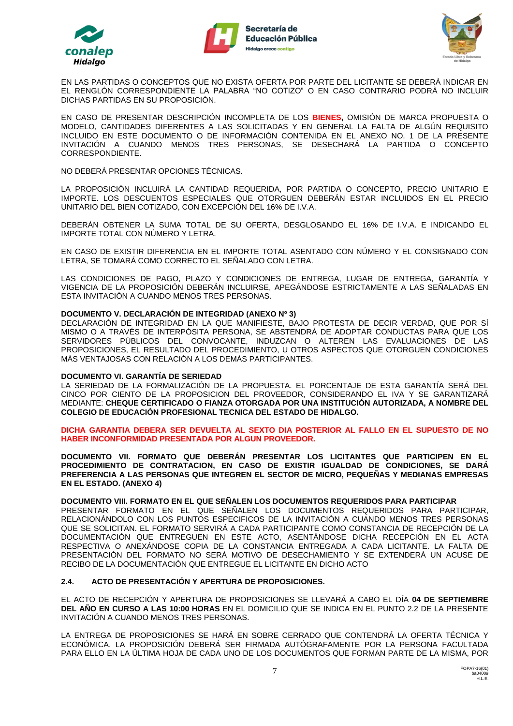





EN LAS PARTIDAS O CONCEPTOS QUE NO EXISTA OFERTA POR PARTE DEL LICITANTE SE DEBERÁ INDICAR EN EL RENGLÓN CORRESPONDIENTE LA PALABRA "NO COTIZO" O EN CASO CONTRARIO PODRÀ NO INCLUIR DICHAS PARTIDAS EN SU PROPOSICIÓN.

EN CASO DE PRESENTAR DESCRIPCIÓN INCOMPLETA DE LOS **BIENES,** OMISIÓN DE MARCA PROPUESTA O MODELO, CANTIDADES DIFERENTES A LAS SOLICITADAS Y EN GENERAL LA FALTA DE ALGÚN REQUISITO INCLUIDO EN ESTE DOCUMENTO O DE INFORMACIÓN CONTENIDA EN EL ANEXO NO. 1 DE LA PRESENTE INVITACIÓN A CUANDO MENOS TRES PERSONAS, SE DESECHARÁ LA PARTIDA O CONCEPTO CORRESPONDIENTE.

NO DEBERÁ PRESENTAR OPCIONES TÉCNICAS.

LA PROPOSICIÓN INCLUIRÁ LA CANTIDAD REQUERIDA, POR PARTIDA O CONCEPTO, PRECIO UNITARIO E IMPORTE. LOS DESCUENTOS ESPECIALES QUE OTORGUEN DEBERÁN ESTAR INCLUIDOS EN EL PRECIO UNITARIO DEL BIEN COTIZADO, CON EXCEPCIÓN DEL 16% DE I.V.A.

DEBERÁN OBTENER LA SUMA TOTAL DE SU OFERTA, DESGLOSANDO EL 16% DE I.V.A. E INDICANDO EL IMPORTE TOTAL CON NÚMERO Y LETRA.

EN CASO DE EXISTIR DIFERENCIA EN EL IMPORTE TOTAL ASENTADO CON NÚMERO Y EL CONSIGNADO CON LETRA, SE TOMARÁ COMO CORRECTO EL SEÑALADO CON LETRA.

LAS CONDICIONES DE PAGO, PLAZO Y CONDICIONES DE ENTREGA, LUGAR DE ENTREGA, GARANTÍA Y VIGENCIA DE LA PROPOSICIÓN DEBERÁN INCLUIRSE, APEGÁNDOSE ESTRICTAMENTE A LAS SEÑALADAS EN ESTA INVITACIÓN A CUANDO MENOS TRES PERSONAS.

## **DOCUMENTO V. DECLARACIÓN DE INTEGRIDAD (ANEXO Nº 3)**

DECLARACIÓN DE INTEGRIDAD EN LA QUE MANIFIESTE, BAJO PROTESTA DE DECIR VERDAD, QUE POR SÍ MISMO O A TRAVÉS DE INTERPÓSITA PERSONA, SE ABSTENDRÁ DE ADOPTAR CONDUCTAS PARA QUE LOS SERVIDORES PÚBLICOS DEL CONVOCANTE, INDUZCAN O ALTEREN LAS EVALUACIONES DE LAS PROPOSICIONES, EL RESULTADO DEL PROCEDIMIENTO, U OTROS ASPECTOS QUE OTORGUEN CONDICIONES MÁS VENTAJOSAS CON RELACIÓN A LOS DEMÁS PARTICIPANTES.

#### **DOCUMENTO VI. GARANTÍA DE SERIEDAD**

LA SERIEDAD DE LA FORMALIZACIÓN DE LA PROPUESTA. EL PORCENTAJE DE ESTA GARANTÍA SERÁ DEL CINCO POR CIENTO DE LA PROPOSICION DEL PROVEEDOR, CONSIDERANDO EL IVA Y SE GARANTIZARÁ MEDIANTE: **CHEQUE CERTIFICADO O FIANZA OTORGADA POR UNA INSTITUCIÓN AUTORIZADA, A NOMBRE DEL COLEGIO DE EDUCACIÓN PROFESIONAL TECNICA DEL ESTADO DE HIDALGO.**

#### **DICHA GARANTIA DEBERA SER DEVUELTA AL SEXTO DIA POSTERIOR AL FALLO EN EL SUPUESTO DE NO HABER INCONFORMIDAD PRESENTADA POR ALGUN PROVEEDOR.**

**DOCUMENTO VII. FORMATO QUE DEBERÁN PRESENTAR LOS LICITANTES QUE PARTICIPEN EN EL PROCEDIMIENTO DE CONTRATACION, EN CASO DE EXISTIR IGUALDAD DE CONDICIONES, SE DARÁ PREFERENCIA A LAS PERSONAS QUE INTEGREN EL SECTOR DE MICRO, PEQUEÑAS Y MEDIANAS EMPRESAS EN EL ESTADO. (ANEXO 4)**

## **DOCUMENTO VIII. FORMATO EN EL QUE SEÑALEN LOS DOCUMENTOS REQUERIDOS PARA PARTICIPAR**

PRESENTAR FORMATO EN EL QUE SEÑALEN LOS DOCUMENTOS REQUERIDOS PARA PARTICIPAR, RELACIONÁNDOLO CON LOS PUNTOS ESPECIFICOS DE LA INVITACIÓN A CUANDO MENOS TRES PERSONAS QUE SE SOLICITAN. EL FORMATO SERVIRÁ A CADA PARTICIPANTE COMO CONSTANCIA DE RECEPCIÓN DE LA DOCUMENTACIÓN QUE ENTREGUEN EN ESTE ACTO, ASENTÁNDOSE DICHA RECEPCIÓN EN EL ACTA RESPECTIVA O ANEXÁNDOSE COPIA DE LA CONSTANCIA ENTREGADA A CADA LICITANTE. LA FALTA DE PRESENTACIÓN DEL FORMATO NO SERÁ MOTIVO DE DESECHAMIENTO Y SE EXTENDERÁ UN ACUSE DE RECIBO DE LA DOCUMENTACIÓN QUE ENTREGUE EL LICITANTE EN DICHO ACTO

#### **2.4. ACTO DE PRESENTACIÓN Y APERTURA DE PROPOSICIONES.**

EL ACTO DE RECEPCIÓN Y APERTURA DE PROPOSICIONES SE LLEVARÁ A CABO EL DÍA **04 DE SEPTIEMBRE DEL AÑO EN CURSO A LAS 10:00 HORAS** EN EL DOMICILIO QUE SE INDICA EN EL PUNTO 2.2 DE LA PRESENTE INVITACIÓN A CUANDO MENOS TRES PERSONAS.

LA ENTREGA DE PROPOSICIONES SE HARÁ EN SOBRE CERRADO QUE CONTENDRÁ LA OFERTA TÉCNICA Y ECONÓMICA. LA PROPOSICIÓN DEBERÁ SER FIRMADA AUTÓGRAFAMENTE POR LA PERSONA FACULTADA PARA ELLO EN LA ÚLTIMA HOJA DE CADA UNO DE LOS DOCUMENTOS QUE FORMAN PARTE DE LA MISMA, POR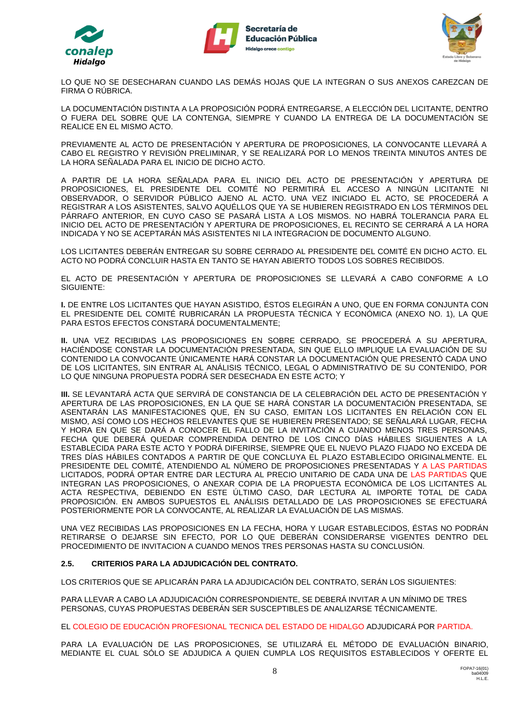





LO QUE NO SE DESECHARAN CUANDO LAS DEMÁS HOJAS QUE LA INTEGRAN O SUS ANEXOS CAREZCAN DE FIRMA O RÚBRICA.

LA DOCUMENTACIÓN DISTINTA A LA PROPOSICIÓN PODRÁ ENTREGARSE, A ELECCIÓN DEL LICITANTE, DENTRO O FUERA DEL SOBRE QUE LA CONTENGA, SIEMPRE Y CUANDO LA ENTREGA DE LA DOCUMENTACIÓN SE REALICE EN EL MISMO ACTO.

PREVIAMENTE AL ACTO DE PRESENTACIÓN Y APERTURA DE PROPOSICIONES, LA CONVOCANTE LLEVARÁ A CABO EL REGISTRO Y REVISIÓN PRELIMINAR, Y SE REALIZARÁ POR LO MENOS TREINTA MINUTOS ANTES DE LA HORA SEÑALADA PARA EL INICIO DE DICHO ACTO.

A PARTIR DE LA HORA SEÑALADA PARA EL INICIO DEL ACTO DE PRESENTACIÓN Y APERTURA DE PROPOSICIONES, EL PRESIDENTE DEL COMITÉ NO PERMITIRÁ EL ACCESO A NINGÚN LICITANTE NI OBSERVADOR, O SERVIDOR PÚBLICO AJENO AL ACTO. UNA VEZ INICIADO EL ACTO, SE PROCEDERÁ A REGISTRAR A LOS ASISTENTES, SALVO AQUÉLLOS QUE YA SE HUBIEREN REGISTRADO EN LOS TÉRMINOS DEL PÁRRAFO ANTERIOR, EN CUYO CASO SE PASARÁ LISTA A LOS MISMOS. NO HABRÁ TOLERANCIA PARA EL INICIO DEL ACTO DE PRESENTACIÓN Y APERTURA DE PROPOSICIONES, EL RECINTO SE CERRARÁ A LA HORA INDICADA Y NO SE ACEPTARÁN MÁS ASISTENTES NI LA INTEGRACION DE DOCUMENTO ALGUNO.

LOS LICITANTES DEBERÁN ENTREGAR SU SOBRE CERRADO AL PRESIDENTE DEL COMITÉ EN DICHO ACTO. EL ACTO NO PODRÁ CONCLUIR HASTA EN TANTO SE HAYAN ABIERTO TODOS LOS SOBRES RECIBIDOS.

EL ACTO DE PRESENTACIÓN Y APERTURA DE PROPOSICIONES SE LLEVARÁ A CABO CONFORME A LO SIGUIENTE:

**I.** DE ENTRE LOS LICITANTES QUE HAYAN ASISTIDO, ÉSTOS ELEGIRÁN A UNO, QUE EN FORMA CONJUNTA CON EL PRESIDENTE DEL COMITÉ RUBRICARÁN LA PROPUESTA TÉCNICA Y ECONÓMICA (ANEXO NO. 1), LA QUE PARA ESTOS EFECTOS CONSTARÁ DOCUMENTALMENTE;

**II.** UNA VEZ RECIBIDAS LAS PROPOSICIONES EN SOBRE CERRADO, SE PROCEDERÁ A SU APERTURA, HACIÉNDOSE CONSTAR LA DOCUMENTACIÓN PRESENTADA, SIN QUE ELLO IMPLIQUE LA EVALUACIÓN DE SU CONTENIDO LA CONVOCANTE ÚNICAMENTE HARÁ CONSTAR LA DOCUMENTACIÓN QUE PRESENTÓ CADA UNO DE LOS LICITANTES, SIN ENTRAR AL ANÁLISIS TÉCNICO, LEGAL O ADMINISTRATIVO DE SU CONTENIDO, POR LO QUE NINGUNA PROPUESTA PODRÁ SER DESECHADA EN ESTE ACTO; Y

**III.** SE LEVANTARÁ ACTA QUE SERVIRÁ DE CONSTANCIA DE LA CELEBRACIÓN DEL ACTO DE PRESENTACIÓN Y APERTURA DE LAS PROPOSICIONES, EN LA QUE SE HARÁ CONSTAR LA DOCUMENTACIÓN PRESENTADA, SE ASENTARÁN LAS MANIFESTACIONES QUE, EN SU CASO, EMITAN LOS LICITANTES EN RELACIÓN CON EL MISMO, ASÍ COMO LOS HECHOS RELEVANTES QUE SE HUBIEREN PRESENTADO; SE SEÑALARÁ LUGAR, FECHA Y HORA EN QUE SE DARÁ A CONOCER EL FALLO DE LA INVITACIÓN A CUANDO MENOS TRES PERSONAS, FECHA QUE DEBERÁ QUEDAR COMPRENDIDA DENTRO DE LOS CINCO DÍAS HÁBILES SIGUIENTES A LA ESTABLECIDA PARA ESTE ACTO Y PODRÁ DIFERIRSE, SIEMPRE QUE EL NUEVO PLAZO FIJADO NO EXCEDA DE TRES DÍAS HÁBILES CONTADOS A PARTIR DE QUE CONCLUYA EL PLAZO ESTABLECIDO ORIGINALMENTE. EL PRESIDENTE DEL COMITÉ, ATENDIENDO AL NÚMERO DE PROPOSICIONES PRESENTADAS Y A LAS PARTIDAS LICITADOS, PODRÁ OPTAR ENTRE DAR LECTURA AL PRECIO UNITARIO DE CADA UNA DE LAS PARTIDAS QUE INTEGRAN LAS PROPOSICIONES, O ANEXAR COPIA DE LA PROPUESTA ECONÓMICA DE LOS LICITANTES AL ACTA RESPECTIVA, DEBIENDO EN ESTE ÚLTIMO CASO, DAR LECTURA AL IMPORTE TOTAL DE CADA PROPOSICIÓN. EN AMBOS SUPUESTOS EL ANÁLISIS DETALLADO DE LAS PROPOSICIONES SE EFECTUARÁ POSTERIORMENTE POR LA CONVOCANTE, AL REALIZAR LA EVALUACIÓN DE LAS MISMAS.

UNA VEZ RECIBIDAS LAS PROPOSICIONES EN LA FECHA, HORA Y LUGAR ESTABLECIDOS, ÉSTAS NO PODRÁN RETIRARSE O DEJARSE SIN EFECTO, POR LO QUE DEBERÁN CONSIDERARSE VIGENTES DENTRO DEL PROCEDIMIENTO DE INVITACION A CUANDO MENOS TRES PERSONAS HASTA SU CONCLUSIÓN.

## **2.5. CRITERIOS PARA LA ADJUDICACIÓN DEL CONTRATO.**

LOS CRITERIOS QUE SE APLICARÁN PARA LA ADJUDICACIÓN DEL CONTRATO, SERÁN LOS SIGUIENTES:

PARA LLEVAR A CABO LA ADJUDICACIÓN CORRESPONDIENTE, SE DEBERÁ INVITAR A UN MÍNIMO DE TRES PERSONAS, CUYAS PROPUESTAS DEBERÁN SER SUSCEPTIBLES DE ANALIZARSE TÉCNICAMENTE.

EL COLEGIO DE EDUCACIÓN PROFESIONAL TECNICA DEL ESTADO DE HIDALGO ADJUDICARÁ POR PARTIDA.

PARA LA EVALUACIÓN DE LAS PROPOSICIONES, SE UTILIZARÁ EL MÉTODO DE EVALUACIÓN BINARIO, MEDIANTE EL CUAL SÓLO SE ADJUDICA A QUIEN CUMPLA LOS REQUISITOS ESTABLECIDOS Y OFERTE EL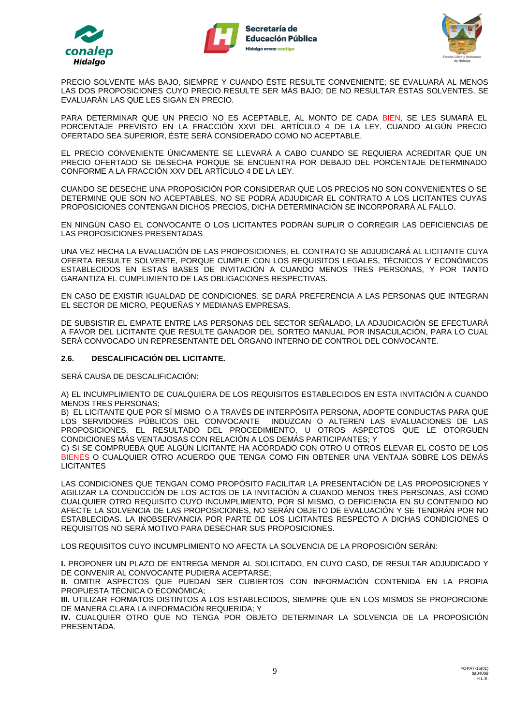





PRECIO SOLVENTE MÁS BAJO, SIEMPRE Y CUANDO ÉSTE RESULTE CONVENIENTE; SE EVALUARÁ AL MENOS LAS DOS PROPOSICIONES CUYO PRECIO RESULTE SER MÁS BAJO; DE NO RESULTAR ÉSTAS SOLVENTES, SE EVALUARÁN LAS QUE LES SIGAN EN PRECIO.

PARA DETERMINAR QUE UN PRECIO NO ES ACEPTABLE, AL MONTO DE CADA BIEN, SE LES SUMARÁ EL PORCENTAJE PREVISTO EN LA FRACCIÓN XXVI DEL ARTÍCULO 4 DE LA LEY. CUANDO ALGÚN PRECIO OFERTADO SEA SUPERIOR, ÉSTE SERÁ CONSIDERADO COMO NO ACEPTABLE.

EL PRECIO CONVENIENTE ÚNICAMENTE SE LLEVARÁ A CABO CUANDO SE REQUIERA ACREDITAR QUE UN PRECIO OFERTADO SE DESECHA PORQUE SE ENCUENTRA POR DEBAJO DEL PORCENTAJE DETERMINADO CONFORME A LA FRACCIÓN XXV DEL ARTÍCULO 4 DE LA LEY.

CUANDO SE DESECHE UNA PROPOSICIÓN POR CONSIDERAR QUE LOS PRECIOS NO SON CONVENIENTES O SE DETERMINE QUE SON NO ACEPTABLES, NO SE PODRÁ ADJUDICAR EL CONTRATO A LOS LICITANTES CUYAS PROPOSICIONES CONTENGAN DICHOS PRECIOS, DICHA DETERMINACIÓN SE INCORPORARÁ AL FALLO.

EN NINGÚN CASO EL CONVOCANTE O LOS LICITANTES PODRÁN SUPLIR O CORREGIR LAS DEFICIENCIAS DE LAS PROPOSICIONES PRESENTADAS

UNA VEZ HECHA LA EVALUACIÓN DE LAS PROPOSICIONES, EL CONTRATO SE ADJUDICARÁ AL LICITANTE CUYA OFERTA RESULTE SOLVENTE, PORQUE CUMPLE CON LOS REQUISITOS LEGALES, TÉCNICOS Y ECONÓMICOS ESTABLECIDOS EN ESTAS BASES DE INVITACIÓN A CUANDO MENOS TRES PERSONAS, Y POR TANTO GARANTIZA EL CUMPLIMIENTO DE LAS OBLIGACIONES RESPECTIVAS.

EN CASO DE EXISTIR IGUALDAD DE CONDICIONES, SE DARÁ PREFERENCIA A LAS PERSONAS QUE INTEGRAN EL SECTOR DE MICRO, PEQUEÑAS Y MEDIANAS EMPRESAS.

DE SUBSISTIR EL EMPATE ENTRE LAS PERSONAS DEL SECTOR SEÑALADO, LA ADJUDICACIÓN SE EFECTUARÁ A FAVOR DEL LICITANTE QUE RESULTE GANADOR DEL SORTEO MANUAL POR INSACULACIÓN, PARA LO CUAL SERÁ CONVOCADO UN REPRESENTANTE DEL ÓRGANO INTERNO DE CONTROL DEL CONVOCANTE.

## **2.6. DESCALIFICACIÓN DEL LICITANTE.**

SERÁ CAUSA DE DESCALIFICACIÓN:

A) EL INCUMPLIMIENTO DE CUALQUIERA DE LOS REQUISITOS ESTABLECIDOS EN ESTA INVITACIÓN A CUANDO MENOS TRES PERSONAS;

B) EL LICITANTE QUE POR SÍ MISMO O A TRAVÉS DE INTERPÓSITA PERSONA, ADOPTE CONDUCTAS PARA QUE LOS SERVIDORES PÚBLICOS DEL CONVOCANTE INDUZCAN O ALTEREN LAS EVALUACIONES DE LAS PROPOSICIONES, EL RESULTADO DEL PROCEDIMIENTO, U OTROS ASPECTOS QUE LE OTORGUEN CONDICIONES MÁS VENTAJOSAS CON RELACIÓN A LOS DEMÁS PARTICIPANTES; Y

C) SI SE COMPRUEBA QUE ALGÚN LICITANTE HA ACORDADO CON OTRO U OTROS ELEVAR EL COSTO DE LOS BIENES O CUALQUIER OTRO ACUERDO QUE TENGA COMO FIN OBTENER UNA VENTAJA SOBRE LOS DEMÁS LICITANTES

LAS CONDICIONES QUE TENGAN COMO PROPÓSITO FACILITAR LA PRESENTACIÓN DE LAS PROPOSICIONES Y AGILIZAR LA CONDUCCIÓN DE LOS ACTOS DE LA INVITACIÓN A CUANDO MENOS TRES PERSONAS, ASÍ COMO CUALQUIER OTRO REQUISITO CUYO INCUMPLIMIENTO, POR SÍ MISMO, O DEFICIENCIA EN SU CONTENIDO NO AFECTE LA SOLVENCIA DE LAS PROPOSICIONES, NO SERÁN OBJETO DE EVALUACIÓN Y SE TENDRÁN POR NO ESTABLECIDAS. LA INOBSERVANCIA POR PARTE DE LOS LICITANTES RESPECTO A DICHAS CONDICIONES O REQUISITOS NO SERÁ MOTIVO PARA DESECHAR SUS PROPOSICIONES.

LOS REQUISITOS CUYO INCUMPLIMIENTO NO AFECTA LA SOLVENCIA DE LA PROPOSICIÓN SERÁN:

**I.** PROPONER UN PLAZO DE ENTREGA MENOR AL SOLICITADO, EN CUYO CASO, DE RESULTAR ADJUDICADO Y DE CONVENIR AL CONVOCANTE PUDIERA ACEPTARSE;

**II.** OMITIR ASPECTOS QUE PUEDAN SER CUBIERTOS CON INFORMACIÓN CONTENIDA EN LA PROPIA PROPUESTA TÉCNICA O ECONÓMICA;

**III.** UTILIZAR FORMATOS DISTINTOS A LOS ESTABLECIDOS, SIEMPRE QUE EN LOS MISMOS SE PROPORCIONE DE MANERA CLARA LA INFORMACIÓN REQUERIDA; Y

**IV.** CUALQUIER OTRO QUE NO TENGA POR OBJETO DETERMINAR LA SOLVENCIA DE LA PROPOSICIÓN PRESENTADA.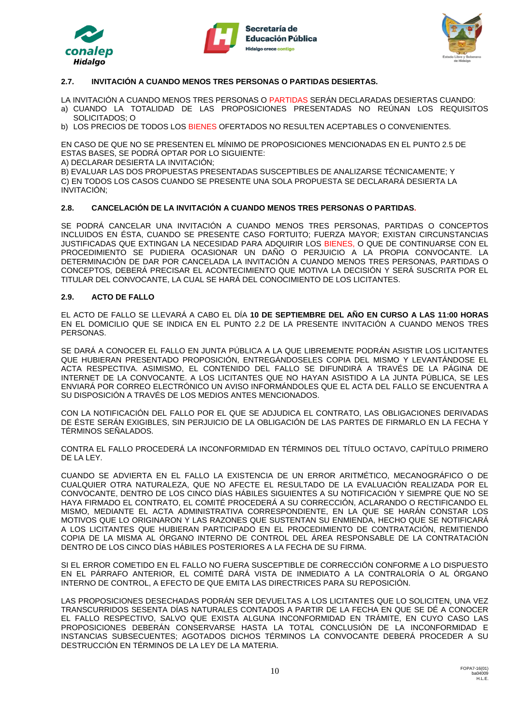





# **2.7. INVITACIÓN A CUANDO MENOS TRES PERSONAS O PARTIDAS DESIERTAS.**

LA INVITACIÓN A CUANDO MENOS TRES PERSONAS O PARTIDAS SERÁN DECLARADAS DESIERTAS CUANDO:

- a) CUANDO LA TOTALIDAD DE LAS PROPOSICIONES PRESENTADAS NO REÚNAN LOS REQUISITOS SOLICITADOS; O
- b) LOS PRECIOS DE TODOS LOS BIENES OFERTADOS NO RESULTEN ACEPTABLES O CONVENIENTES.

EN CASO DE QUE NO SE PRESENTEN EL MÍNIMO DE PROPOSICIONES MENCIONADAS EN EL PUNTO 2.5 DE ESTAS BASES, SE PODRÁ OPTAR POR LO SIGUIENTE:

A) DECLARAR DESIERTA LA INVITACIÓN;

B) EVALUAR LAS DOS PROPUESTAS PRESENTADAS SUSCEPTIBLES DE ANALIZARSE TÉCNICAMENTE; Y C) EN TODOS LOS CASOS CUANDO SE PRESENTE UNA SOLA PROPUESTA SE DECLARARÁ DESIERTA LA INVITACIÓN;

## **2.8. CANCELACIÓN DE LA INVITACIÓN A CUANDO MENOS TRES PERSONAS O PARTIDAS.**

SE PODRÁ CANCELAR UNA INVITACIÓN A CUANDO MENOS TRES PERSONAS, PARTIDAS O CONCEPTOS INCLUIDOS EN ÉSTA, CUANDO SE PRESENTE CASO FORTUITO; FUERZA MAYOR; EXISTAN CIRCUNSTANCIAS JUSTIFICADAS QUE EXTINGAN LA NECESIDAD PARA ADQUIRIR LOS BIENES, O QUE DE CONTINUARSE CON EL PROCEDIMIENTO SE PUDIERA OCASIONAR UN DAÑO O PERJUICIO A LA PROPIA CONVOCANTE. LA DETERMINACIÓN DE DAR POR CANCELADA LA INVITACIÓN A CUANDO MENOS TRES PERSONAS, PARTIDAS O CONCEPTOS, DEBERÁ PRECISAR EL ACONTECIMIENTO QUE MOTIVA LA DECISIÓN Y SERÁ SUSCRITA POR EL TITULAR DEL CONVOCANTE, LA CUAL SE HARÁ DEL CONOCIMIENTO DE LOS LICITANTES.

## **2.9. ACTO DE FALLO**

EL ACTO DE FALLO SE LLEVARÁ A CABO EL DÍA **10 DE SEPTIEMBRE DEL AÑO EN CURSO A LAS 11:00 HORAS** EN EL DOMICILIO QUE SE INDICA EN EL PUNTO 2.2 DE LA PRESENTE INVITACIÓN A CUANDO MENOS TRES PERSONAS.

SE DARÁ A CONOCER EL FALLO EN JUNTA PÚBLICA A LA QUE LIBREMENTE PODRÁN ASISTIR LOS LICITANTES QUE HUBIERAN PRESENTADO PROPOSICIÓN, ENTREGÁNDOSELES COPIA DEL MISMO Y LEVANTÁNDOSE EL ACTA RESPECTIVA. ASIMISMO, EL CONTENIDO DEL FALLO SE DIFUNDIRÁ A TRAVÉS DE LA PÁGINA DE INTERNET DE LA CONVOCANTE. A LOS LICITANTES QUE NO HAYAN ASISTIDO A LA JUNTA PÚBLICA, SE LES ENVIARÁ POR CORREO ELECTRÓNICO UN AVISO INFORMÁNDOLES QUE EL ACTA DEL FALLO SE ENCUENTRA A SU DISPOSICIÓN A TRAVÉS DE LOS MEDIOS ANTES MENCIONADOS.

CON LA NOTIFICACIÓN DEL FALLO POR EL QUE SE ADJUDICA EL CONTRATO, LAS OBLIGACIONES DERIVADAS DE ÉSTE SERÁN EXIGIBLES, SIN PERJUICIO DE LA OBLIGACIÓN DE LAS PARTES DE FIRMARLO EN LA FECHA Y TÉRMINOS SEÑALADOS.

CONTRA EL FALLO PROCEDERÁ LA INCONFORMIDAD EN TÉRMINOS DEL TÍTULO OCTAVO, CAPÍTULO PRIMERO DE LA LEY.

CUANDO SE ADVIERTA EN EL FALLO LA EXISTENCIA DE UN ERROR ARITMÉTICO, MECANOGRÁFICO O DE CUALQUIER OTRA NATURALEZA, QUE NO AFECTE EL RESULTADO DE LA EVALUACIÓN REALIZADA POR EL CONVOCANTE, DENTRO DE LOS CINCO DÍAS HÁBILES SIGUIENTES A SU NOTIFICACIÓN Y SIEMPRE QUE NO SE HAYA FIRMADO EL CONTRATO, EL COMITÉ PROCEDERÁ A SU CORRECCIÓN, ACLARANDO O RECTIFICANDO EL MISMO, MEDIANTE EL ACTA ADMINISTRATIVA CORRESPONDIENTE, EN LA QUE SE HARÁN CONSTAR LOS MOTIVOS QUE LO ORIGINARON Y LAS RAZONES QUE SUSTENTAN SU ENMIENDA, HECHO QUE SE NOTIFICARÁ A LOS LICITANTES QUE HUBIERAN PARTICIPADO EN EL PROCEDIMIENTO DE CONTRATACIÓN, REMITIENDO COPIA DE LA MISMA AL ÓRGANO INTERNO DE CONTROL DEL ÁREA RESPONSABLE DE LA CONTRATACIÓN DENTRO DE LOS CINCO DÍAS HÁBILES POSTERIORES A LA FECHA DE SU FIRMA.

SI EL ERROR COMETIDO EN EL FALLO NO FUERA SUSCEPTIBLE DE CORRECCIÓN CONFORME A LO DISPUESTO EN EL PÁRRAFO ANTERIOR, EL COMITÉ DARÁ VISTA DE INMEDIATO A LA CONTRALORÍA O AL ÓRGANO INTERNO DE CONTROL, A EFECTO DE QUE EMITA LAS DIRECTRICES PARA SU REPOSICIÓN.

LAS PROPOSICIONES DESECHADAS PODRÁN SER DEVUELTAS A LOS LICITANTES QUE LO SOLICITEN, UNA VEZ TRANSCURRIDOS SESENTA DÍAS NATURALES CONTADOS A PARTIR DE LA FECHA EN QUE SE DÉ A CONOCER EL FALLO RESPECTIVO, SALVO QUE EXISTA ALGUNA INCONFORMIDAD EN TRÁMITE, EN CUYO CASO LAS PROPOSICIONES DEBERÁN CONSERVARSE HASTA LA TOTAL CONCLUSIÓN DE LA INCONFORMIDAD E INSTANCIAS SUBSECUENTES; AGOTADOS DICHOS TÉRMINOS LA CONVOCANTE DEBERÁ PROCEDER A SU DESTRUCCIÓN EN TÉRMINOS DE LA LEY DE LA MATERIA.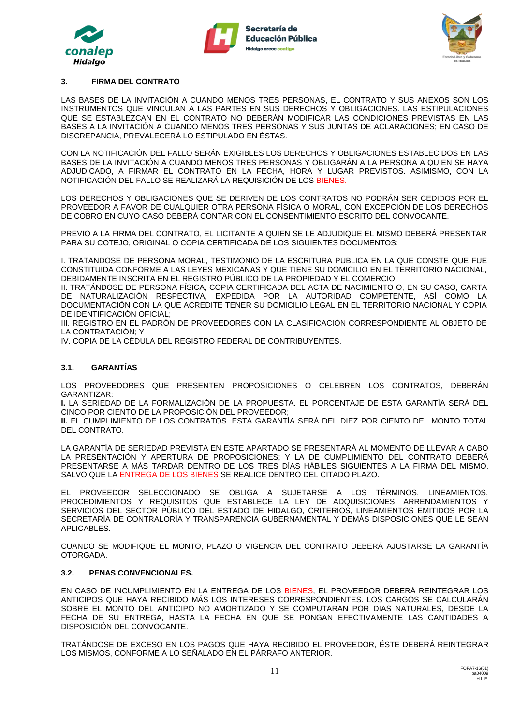





## **3. FIRMA DEL CONTRATO**

LAS BASES DE LA INVITACIÓN A CUANDO MENOS TRES PERSONAS, EL CONTRATO Y SUS ANEXOS SON LOS INSTRUMENTOS QUE VINCULAN A LAS PARTES EN SUS DERECHOS Y OBLIGACIONES. LAS ESTIPULACIONES QUE SE ESTABLEZCAN EN EL CONTRATO NO DEBERÁN MODIFICAR LAS CONDICIONES PREVISTAS EN LAS BASES A LA INVITACIÓN A CUANDO MENOS TRES PERSONAS Y SUS JUNTAS DE ACLARACIONES; EN CASO DE DISCREPANCIA, PREVALECERÁ LO ESTIPULADO EN ÉSTAS.

CON LA NOTIFICACIÓN DEL FALLO SERÁN EXIGIBLES LOS DERECHOS Y OBLIGACIONES ESTABLECIDOS EN LAS BASES DE LA INVITACIÓN A CUANDO MENOS TRES PERSONAS Y OBLIGARÁN A LA PERSONA A QUIEN SE HAYA ADJUDICADO, A FIRMAR EL CONTRATO EN LA FECHA, HORA Y LUGAR PREVISTOS. ASIMISMO, CON LA NOTIFICACIÓN DEL FALLO SE REALIZARÁ LA REQUISICIÓN DE LOS BIENES.

LOS DERECHOS Y OBLIGACIONES QUE SE DERIVEN DE LOS CONTRATOS NO PODRÁN SER CEDIDOS POR EL PROVEEDOR A FAVOR DE CUALQUIER OTRA PERSONA FÍSICA O MORAL, CON EXCEPCIÓN DE LOS DERECHOS DE COBRO EN CUYO CASO DEBERÁ CONTAR CON EL CONSENTIMIENTO ESCRITO DEL CONVOCANTE.

PREVIO A LA FIRMA DEL CONTRATO, EL LICITANTE A QUIEN SE LE ADJUDIQUE EL MISMO DEBERÁ PRESENTAR PARA SU COTEJO, ORIGINAL O COPIA CERTIFICADA DE LOS SIGUIENTES DOCUMENTOS:

I. TRATÁNDOSE DE PERSONA MORAL, TESTIMONIO DE LA ESCRITURA PÚBLICA EN LA QUE CONSTE QUE FUE CONSTITUIDA CONFORME A LAS LEYES MEXICANAS Y QUE TIENE SU DOMICILIO EN EL TERRITORIO NACIONAL, DEBIDAMENTE INSCRITA EN EL REGISTRO PÚBLICO DE LA PROPIEDAD Y EL COMERCIO;

II. TRATÁNDOSE DE PERSONA FÍSICA, COPIA CERTIFICADA DEL ACTA DE NACIMIENTO O, EN SU CASO, CARTA DE NATURALIZACIÓN RESPECTIVA, EXPEDIDA POR LA AUTORIDAD COMPETENTE, ASÍ COMO LA DOCUMENTACIÓN CON LA QUE ACREDITE TENER SU DOMICILIO LEGAL EN EL TERRITORIO NACIONAL Y COPIA DE IDENTIFICACIÓN OFICIAL;

III. REGISTRO EN EL PADRÓN DE PROVEEDORES CON LA CLASIFICACIÓN CORRESPONDIENTE AL OBJETO DE LA CONTRATACIÓN; Y

IV. COPIA DE LA CÉDULA DEL REGISTRO FEDERAL DE CONTRIBUYENTES.

## **3.1. GARANTÍAS**

LOS PROVEEDORES QUE PRESENTEN PROPOSICIONES O CELEBREN LOS CONTRATOS, DEBERÁN GARANTIZAR:

**I.** LA SERIEDAD DE LA FORMALIZACIÓN DE LA PROPUESTA. EL PORCENTAJE DE ESTA GARANTÍA SERÁ DEL CINCO POR CIENTO DE LA PROPOSICIÓN DEL PROVEEDOR;

**II.** EL CUMPLIMIENTO DE LOS CONTRATOS. ESTA GARANTÍA SERÁ DEL DIEZ POR CIENTO DEL MONTO TOTAL DEL CONTRATO.

LA GARANTÍA DE SERIEDAD PREVISTA EN ESTE APARTADO SE PRESENTARÁ AL MOMENTO DE LLEVAR A CABO LA PRESENTACIÓN Y APERTURA DE PROPOSICIONES; Y LA DE CUMPLIMIENTO DEL CONTRATO DEBERÁ PRESENTARSE A MÁS TARDAR DENTRO DE LOS TRES DÍAS HÁBILES SIGUIENTES A LA FIRMA DEL MISMO, SALVO QUE LA ENTREGA DE LOS BIENES SE REALICE DENTRO DEL CITADO PLAZO.

EL PROVEEDOR SELECCIONADO SE OBLIGA A SUJETARSE A LOS TÉRMINOS, LINEAMIENTOS, PROCEDIMIENTOS Y REQUISITOS QUE ESTABLECE LA LEY DE ADQUISICIONES, ARRENDAMIENTOS Y SERVICIOS DEL SECTOR PÙBLICO DEL ESTADO DE HIDALGO, CRITERIOS, LINEAMIENTOS EMITIDOS POR LA SECRETARÍA DE CONTRALORÍA Y TRANSPARENCIA GUBERNAMENTAL Y DEMÁS DISPOSICIONES QUE LE SEAN APLICABLES.

CUANDO SE MODIFIQUE EL MONTO, PLAZO O VIGENCIA DEL CONTRATO DEBERÁ AJUSTARSE LA GARANTÍA **OTORGADA** 

## **3.2. PENAS CONVENCIONALES.**

EN CASO DE INCUMPLIMIENTO EN LA ENTREGA DE LOS BIENES, EL PROVEEDOR DEBERÁ REINTEGRAR LOS ANTICIPOS QUE HAYA RECIBIDO MÁS LOS INTERESES CORRESPONDIENTES. LOS CARGOS SE CALCULARÁN SOBRE EL MONTO DEL ANTICIPO NO AMORTIZADO Y SE COMPUTARÁN POR DÍAS NATURALES, DESDE LA FECHA DE SU ENTREGA, HASTA LA FECHA EN QUE SE PONGAN EFECTIVAMENTE LAS CANTIDADES A DISPOSICIÓN DEL CONVOCANTE.

TRATÁNDOSE DE EXCESO EN LOS PAGOS QUE HAYA RECIBIDO EL PROVEEDOR, ÉSTE DEBERÁ REINTEGRAR LOS MISMOS, CONFORME A LO SEÑALADO EN EL PÁRRAFO ANTERIOR.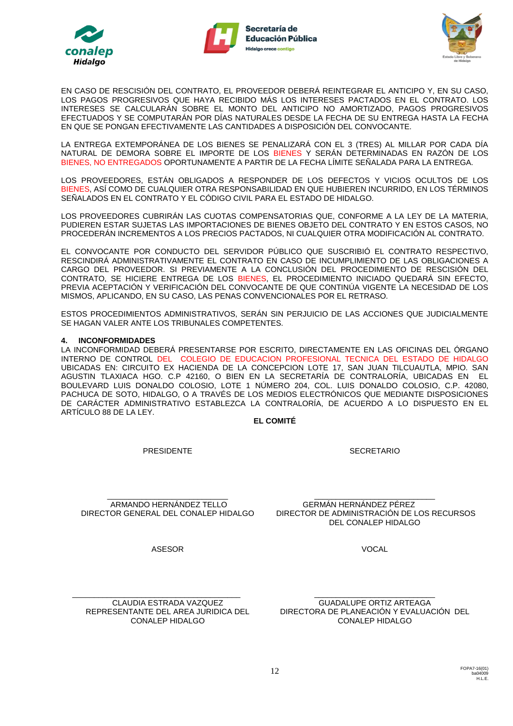





EN CASO DE RESCISIÓN DEL CONTRATO, EL PROVEEDOR DEBERÁ REINTEGRAR EL ANTICIPO Y, EN SU CASO, LOS PAGOS PROGRESIVOS QUE HAYA RECIBIDO MÁS LOS INTERESES PACTADOS EN EL CONTRATO. LOS INTERESES SE CALCULARÁN SOBRE EL MONTO DEL ANTICIPO NO AMORTIZADO, PAGOS PROGRESIVOS EFECTUADOS Y SE COMPUTARÁN POR DÍAS NATURALES DESDE LA FECHA DE SU ENTREGA HASTA LA FECHA EN QUE SE PONGAN EFECTIVAMENTE LAS CANTIDADES A DISPOSICIÓN DEL CONVOCANTE.

LA ENTREGA EXTEMPORÁNEA DE LOS BIENES SE PENALIZARÁ CON EL 3 (TRES) AL MILLAR POR CADA DÍA NATURAL DE DEMORA SOBRE EL IMPORTE DE LOS BIENES Y SERÁN DETERMINADAS EN RAZÓN DE LOS BIENES, NO ENTREGADOS OPORTUNAMENTE A PARTIR DE LA FECHA LÍMITE SEÑALADA PARA LA ENTREGA.

LOS PROVEEDORES, ESTÁN OBLIGADOS A RESPONDER DE LOS DEFECTOS Y VICIOS OCULTOS DE LOS BIENES, ASÍ COMO DE CUALQUIER OTRA RESPONSABILIDAD EN QUE HUBIEREN INCURRIDO, EN LOS TÉRMINOS SEÑALADOS EN EL CONTRATO Y EL CÓDIGO CIVIL PARA EL ESTADO DE HIDALGO.

LOS PROVEEDORES CUBRIRÁN LAS CUOTAS COMPENSATORIAS QUE, CONFORME A LA LEY DE LA MATERIA, PUDIEREN ESTAR SUJETAS LAS IMPORTACIONES DE BIENES OBJETO DEL CONTRATO Y EN ESTOS CASOS, NO PROCEDERÁN INCREMENTOS A LOS PRECIOS PACTADOS, NI CUALQUIER OTRA MODIFICACIÓN AL CONTRATO.

EL CONVOCANTE POR CONDUCTO DEL SERVIDOR PÚBLICO QUE SUSCRIBIÓ EL CONTRATO RESPECTIVO, RESCINDIRÁ ADMINISTRATIVAMENTE EL CONTRATO EN CASO DE INCUMPLIMIENTO DE LAS OBLIGACIONES A CARGO DEL PROVEEDOR. SI PREVIAMENTE A LA CONCLUSIÓN DEL PROCEDIMIENTO DE RESCISIÓN DEL CONTRATO, SE HICIERE ENTREGA DE LOS BIENES, EL PROCEDIMIENTO INICIADO QUEDARÁ SIN EFECTO, PREVIA ACEPTACIÓN Y VERIFICACIÓN DEL CONVOCANTE DE QUE CONTINÚA VIGENTE LA NECESIDAD DE LOS MISMOS, APLICANDO, EN SU CASO, LAS PENAS CONVENCIONALES POR EL RETRASO.

ESTOS PROCEDIMIENTOS ADMINISTRATIVOS, SERÁN SIN PERJUICIO DE LAS ACCIONES QUE JUDICIALMENTE SE HAGAN VALER ANTE LOS TRIBUNALES COMPETENTES.

## **4. INCONFORMIDADES**

LA INCONFORMIDAD DEBERÁ PRESENTARSE POR ESCRITO, DIRECTAMENTE EN LAS OFICINAS DEL ÓRGANO INTERNO DE CONTROL DEL COLEGIO DE EDUCACION PROFESIONAL TECNICA DEL ESTADO DE HIDALGO UBICADAS EN: CIRCUITO EX HACIENDA DE LA CONCEPCION LOTE 17, SAN JUAN TILCUAUTLA, MPIO. SAN AGUSTIN TLAXIACA HGO. C.P 42160, O BIEN EN LA SECRETARÍA DE CONTRALORÍA, UBICADAS EN EL BOULEVARD LUIS DONALDO COLOSIO, LOTE 1 NÚMERO 204, COL. LUIS DONALDO COLOSIO, C.P. 42080, PACHUCA DE SOTO, HIDALGO, O A TRAVÉS DE LOS MEDIOS ELECTRÓNICOS QUE MEDIANTE DISPOSICIONES DE CARÁCTER ADMINISTRATIVO ESTABLEZCA LA CONTRALORÍA, DE ACUERDO A LO DISPUESTO EN EL ARTÍCULO 88 DE LA LEY.

**EL COMITÉ**

PRESIDENTE

**SECRETARIO** 

\_\_\_\_\_\_\_\_\_\_\_\_\_\_\_\_\_\_\_\_\_\_\_\_\_\_\_\_ ARMANDO HERNÁNDEZ TELLO DIRECTOR GENERAL DEL CONALEP HIDALGO

ASESOR

\_\_\_\_\_\_\_\_\_\_\_\_\_\_\_\_\_\_\_\_\_\_\_\_\_\_\_\_ GERMÁN HERNÁNDEZ PÉREZ DIRECTOR DE ADMINISTRACIÓN DE LOS RECURSOS DEL CONALEP HIDALGO

VOCAL

CLAUDIA ESTRADA VAZQUEZ REPRESENTANTE DEL AREA JURIDICA DEL CONALEP HIDALGO

\_\_\_\_\_\_\_\_\_\_\_\_\_\_\_\_\_\_\_\_\_\_\_\_\_\_\_\_\_\_\_\_\_\_\_\_\_\_\_

\_\_\_\_\_\_\_\_\_\_\_\_\_\_\_\_\_\_\_\_\_\_\_\_\_\_\_\_ GUADALUPE ORTIZ ARTEAGA DIRECTORA DE PLANEACIÓN Y EVALUACIÓN DEL CONALEP HIDALGO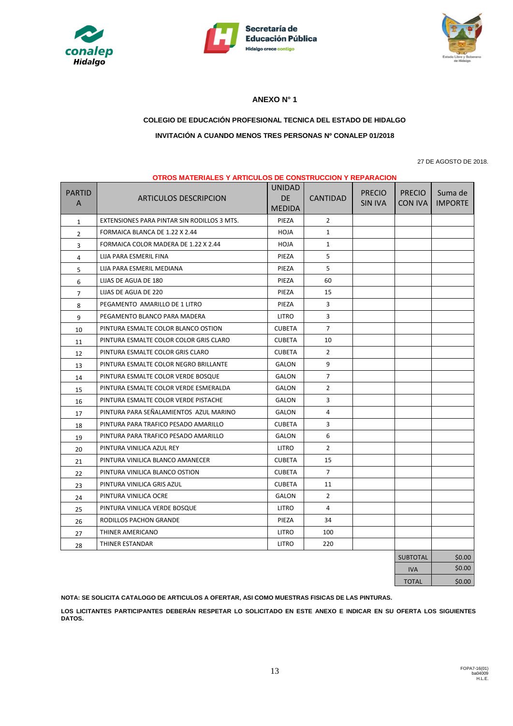





# **ANEXO N° 1**

# **COLEGIO DE EDUCACIÓN PROFESIONAL TECNICA DEL ESTADO DE HIDALGO INVITACIÓN A CUANDO MENOS TRES PERSONAS Nº CONALEP 01/2018**

27 DE AGOSTO DE 2018.

|                | <b>OTROS MATERIALES Y ARTICULOS DE CONSTRUCCION Y REPARACION</b> |                            |                 |                |                 |                |
|----------------|------------------------------------------------------------------|----------------------------|-----------------|----------------|-----------------|----------------|
| <b>PARTID</b>  |                                                                  | <b>UNIDAD</b><br><b>DE</b> |                 | <b>PRECIO</b>  | <b>PRECIO</b>   | Suma de        |
| A              | <b>ARTICULOS DESCRIPCION</b>                                     | <b>MEDIDA</b>              | <b>CANTIDAD</b> | <b>SIN IVA</b> | CON IVA         | <b>IMPORTE</b> |
| $\mathbf{1}$   | EXTENSIONES PARA PINTAR SIN RODILLOS 3 MTS.                      | PIEZA                      | $\overline{2}$  |                |                 |                |
| $\overline{2}$ | FORMAICA BLANCA DE 1.22 X 2.44                                   | <b>HOJA</b>                | $\mathbf{1}$    |                |                 |                |
| 3              | FORMAICA COLOR MADERA DE 1.22 X 2.44                             | <b>HOJA</b>                | $\mathbf{1}$    |                |                 |                |
| 4              | LIJA PARA ESMERIL FINA                                           | PIEZA                      | 5               |                |                 |                |
| 5              | LIJA PARA ESMERIL MEDIANA                                        | PIEZA                      | 5               |                |                 |                |
| 6              | LIJAS DE AGUA DE 180                                             | PIEZA                      | 60              |                |                 |                |
| $\overline{7}$ | LIJAS DE AGUA DE 220                                             | PIEZA                      | 15              |                |                 |                |
| 8              | PEGAMENTO AMARILLO DE 1 LITRO                                    | PIEZA                      | 3               |                |                 |                |
| 9              | PEGAMENTO BLANCO PARA MADERA                                     | <b>LITRO</b>               | 3               |                |                 |                |
| 10             | PINTURA ESMALTE COLOR BLANCO OSTION                              | <b>CUBETA</b>              | $\overline{7}$  |                |                 |                |
| 11             | PINTURA ESMALTE COLOR COLOR GRIS CLARO                           | <b>CUBETA</b>              | 10              |                |                 |                |
| 12             | PINTURA ESMALTE COLOR GRIS CLARO                                 | <b>CUBETA</b>              | $\overline{2}$  |                |                 |                |
| 13             | PINTURA ESMALTE COLOR NEGRO BRILLANTE                            | GALON                      | 9               |                |                 |                |
| 14             | PINTURA ESMALTE COLOR VERDE BOSQUE                               | <b>GALON</b>               | $\overline{7}$  |                |                 |                |
| 15             | PINTURA ESMALTE COLOR VERDE ESMERALDA                            | GALON                      | $\overline{2}$  |                |                 |                |
| 16             | PINTURA ESMALTE COLOR VERDE PISTACHE                             | GALON                      | 3               |                |                 |                |
| 17             | PINTURA PARA SEÑALAMIENTOS AZUL MARINO                           | GALON                      | 4               |                |                 |                |
| 18             | PINTURA PARA TRAFICO PESADO AMARILLO                             | <b>CUBETA</b>              | 3               |                |                 |                |
| 19             | PINTURA PARA TRAFICO PESADO AMARILLO                             | GALON                      | 6               |                |                 |                |
| 20             | PINTURA VINILICA AZUL REY                                        | LITRO                      | $\overline{2}$  |                |                 |                |
| 21             | PINTURA VINILICA BLANCO AMANECER                                 | <b>CUBETA</b>              | 15              |                |                 |                |
| 22             | PINTURA VINILICA BLANCO OSTION                                   | <b>CUBETA</b>              | $\overline{7}$  |                |                 |                |
| 23             | PINTURA VINILICA GRIS AZUL                                       | <b>CUBETA</b>              | 11              |                |                 |                |
| 24             | PINTURA VINILICA OCRE                                            | GALON                      | $\overline{2}$  |                |                 |                |
| 25             | PINTURA VINILICA VERDE BOSQUE                                    | LITRO                      | 4               |                |                 |                |
| 26             | RODILLOS PACHON GRANDE                                           | PIEZA                      | 34              |                |                 |                |
| 27             | THINER AMERICANO                                                 | LITRO                      | 100             |                |                 |                |
| 28             | THINER ESTANDAR                                                  | <b>LITRO</b>               | 220             |                |                 |                |
|                |                                                                  |                            |                 |                | <b>SUBTOTAL</b> | \$0.00         |

TOTAL \$0.00

IVA \$0.00

**NOTA: SE SOLICITA CATALOGO DE ARTICULOS A OFERTAR, ASI COMO MUESTRAS FISICAS DE LAS PINTURAS.** 

**LOS LICITANTES PARTICIPANTES DEBERÁN RESPETAR LO SOLICITADO EN ESTE ANEXO E INDICAR EN SU OFERTA LOS SIGUIENTES DATOS.**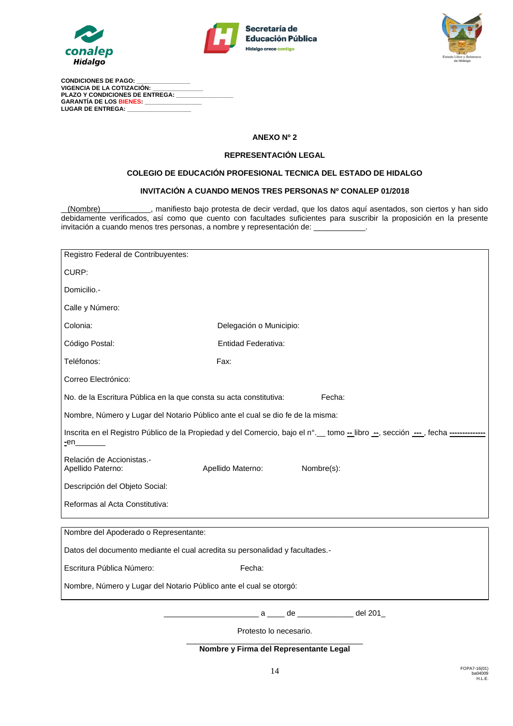





**CONDICIONES DE PAGO: \_\_\_\_\_\_\_\_\_\_\_\_\_\_\_\_ VIGENCIA DE LA COTIZACIÓN: \_\_\_\_\_\_\_\_\_\_\_\_\_\_\_ PLAZO Y CONDICIONES DE ENTREGA: GARANTÍA DE LOS BIENES:** LUGAR DE ENTREGA:

## **ANEXO Nº 2**

#### **REPRESENTACIÓN LEGAL**

## **COLEGIO DE EDUCACIÓN PROFESIONAL TECNICA DEL ESTADO DE HIDALGO**

#### **INVITACIÓN A CUANDO MENOS TRES PERSONAS Nº CONALEP 01/2018**

(Nombre) , manifiesto bajo protesta de decir verdad, que los datos aquí asentados, son ciertos y han sido debidamente verificados, así como que cuento con facultades suficientes para suscribir la proposición en la presente invitación a cuando menos tres personas, a nombre y representación de:

| Registro Federal de Contribuyentes:                                                                                            |                                                        |  |  |  |  |  |  |
|--------------------------------------------------------------------------------------------------------------------------------|--------------------------------------------------------|--|--|--|--|--|--|
| CURP:                                                                                                                          |                                                        |  |  |  |  |  |  |
| Domicilio.-                                                                                                                    |                                                        |  |  |  |  |  |  |
| Calle y Número:                                                                                                                |                                                        |  |  |  |  |  |  |
| Colonia:                                                                                                                       | Delegación o Municipio:                                |  |  |  |  |  |  |
| Código Postal:                                                                                                                 | Entidad Federativa:                                    |  |  |  |  |  |  |
| Teléfonos:                                                                                                                     | Fax:                                                   |  |  |  |  |  |  |
| Correo Electrónico:                                                                                                            |                                                        |  |  |  |  |  |  |
| Fecha:<br>No. de la Escritura Pública en la que consta su acta constitutiva:                                                   |                                                        |  |  |  |  |  |  |
| Nombre, Número y Lugar del Notario Público ante el cual se dio fe de la misma:                                                 |                                                        |  |  |  |  |  |  |
| Inscrita en el Registro Público de la Propiedad y del Comercio, bajo el n°. tomo - libro --, sección ----, fecha ------------- |                                                        |  |  |  |  |  |  |
| Relación de Accionistas.-<br>Apellido Paterno:                                                                                 | Apellido Materno:<br>Nombre(s):                        |  |  |  |  |  |  |
| Descripción del Objeto Social:                                                                                                 |                                                        |  |  |  |  |  |  |
| Reformas al Acta Constitutiva:                                                                                                 |                                                        |  |  |  |  |  |  |
|                                                                                                                                |                                                        |  |  |  |  |  |  |
| Nombre del Apoderado o Representante:                                                                                          |                                                        |  |  |  |  |  |  |
| Datos del documento mediante el cual acredita su personalidad y facultades.-                                                   |                                                        |  |  |  |  |  |  |
| Escritura Pública Número:                                                                                                      | Fecha:                                                 |  |  |  |  |  |  |
| Nombre, Número y Lugar del Notario Público ante el cual se otorgó:                                                             |                                                        |  |  |  |  |  |  |
|                                                                                                                                | del 201 $\_$<br>$de \fbox{$\quad$<br>$a \qquad \qquad$ |  |  |  |  |  |  |

Protesto lo necesario. \_\_\_\_\_\_\_\_\_\_\_\_\_\_\_\_\_\_\_\_\_\_\_\_\_\_\_\_\_\_\_\_\_\_\_\_\_\_\_\_\_

**Nombre y Firma del Representante Legal**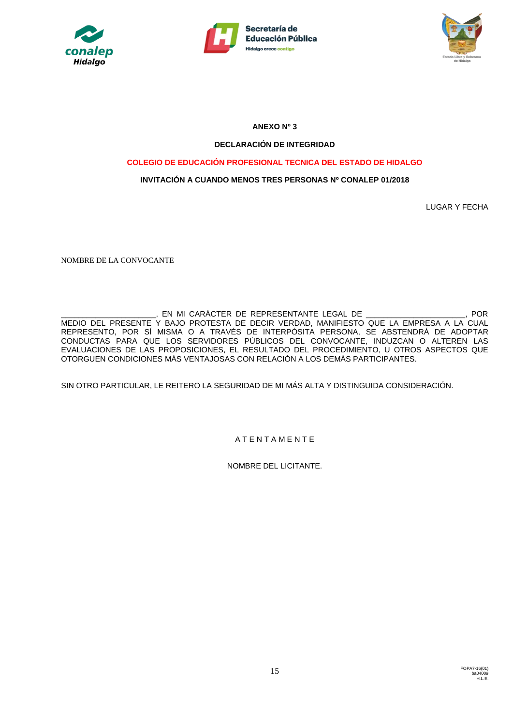





**ANEXO Nº 3**

# **DECLARACIÓN DE INTEGRIDAD**

# **COLEGIO DE EDUCACIÓN PROFESIONAL TECNICA DEL ESTADO DE HIDALGO**

# **INVITACIÓN A CUANDO MENOS TRES PERSONAS Nº CONALEP 01/2018**

LUGAR Y FECHA

NOMBRE DE LA CONVOCANTE

\_\_\_\_\_\_\_\_\_\_\_\_\_\_\_\_\_\_\_\_\_\_, EN MI CARÁCTER DE REPRESENTANTE LEGAL DE \_\_\_\_\_\_\_\_\_\_\_\_\_\_\_\_\_\_\_\_\_\_\_, POR MEDIO DEL PRESENTE Y BAJO PROTESTA DE DECIR VERDAD, MANIFIESTO QUE LA EMPRESA A LA CUAL REPRESENTO, POR SÍ MISMA O A TRAVÉS DE INTERPÓSITA PERSONA, SE ABSTENDRÁ DE ADOPTAR CONDUCTAS PARA QUE LOS SERVIDORES PÚBLICOS DEL CONVOCANTE, INDUZCAN O ALTEREN LAS EVALUACIONES DE LAS PROPOSICIONES, EL RESULTADO DEL PROCEDIMIENTO, U OTROS ASPECTOS QUE OTORGUEN CONDICIONES MÁS VENTAJOSAS CON RELACIÓN A LOS DEMÁS PARTICIPANTES.

SIN OTRO PARTICULAR, LE REITERO LA SEGURIDAD DE MI MÁS ALTA Y DISTINGUIDA CONSIDERACIÓN.

# A T E N T A M E N T E

NOMBRE DEL LICITANTE.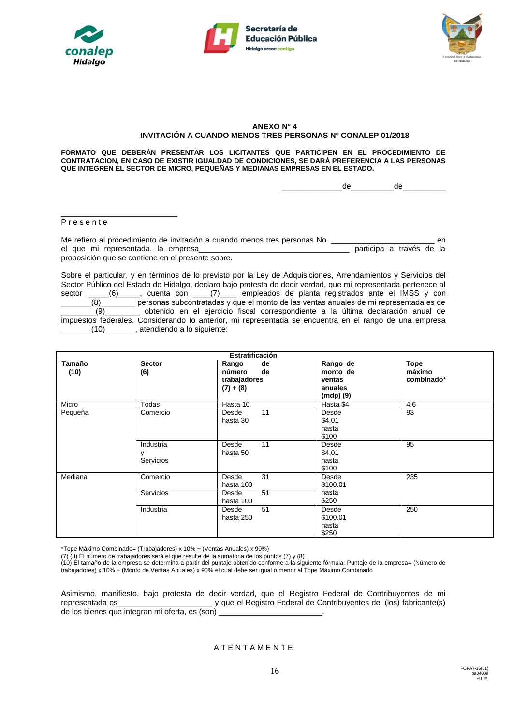





#### **ANEXO N° 4 INVITACIÓN A CUANDO MENOS TRES PERSONAS Nº CONALEP 01/2018**

**FORMATO QUE DEBERÁN PRESENTAR LOS LICITANTES QUE PARTICIPEN EN EL PROCEDIMIENTO DE CONTRATACION, EN CASO DE EXISTIR IGUALDAD DE CONDICIONES, SE DARÁ PREFERENCIA A LAS PERSONAS QUE INTEGREN EL SECTOR DE MICRO, PEQUEÑAS Y MEDIANAS EMPRESAS EN EL ESTADO.**

\_\_\_\_\_\_\_\_\_\_\_\_\_\_de\_\_\_\_\_\_\_\_\_\_de\_\_\_\_\_\_\_\_\_\_

P r e s e n t e

\_\_\_\_\_\_\_\_\_\_\_\_\_\_\_\_\_\_\_\_\_\_\_\_\_\_\_

Me refiero al procedimiento de invitación a cuando menos tres personas No. \_\_\_\_\_\_\_\_\_\_\_\_\_\_\_\_\_\_\_\_\_\_\_\_\_\_\_\_\_\_\_ en el que mi representada, la empresa\_\_\_\_\_\_\_\_\_\_\_\_\_\_\_\_\_\_\_\_\_\_\_\_\_\_\_\_\_\_\_\_\_\_\_ participa a través de la proposición que se contiene en el presente sobre.

Sobre el particular, y en términos de lo previsto por la Ley de Adquisiciones, Arrendamientos y Servicios del Sector Público del Estado de Hidalgo, declaro bajo protesta de decir verdad, que mi representada pertenece al sector \_\_\_\_\_(6)\_\_\_\_\_, cuenta con \_\_\_\_(7)\_\_\_\_ empleados de planta registrados ante el IMSS y con \_\_\_\_\_\_\_(8)\_\_\_\_\_\_\_\_ personas subcontratadas y que el monto de las ventas anuales de mi representada es de \_\_\_\_\_\_\_\_(9)\_\_\_\_\_\_\_\_ obtenido en el ejercicio fiscal correspondiente a la última declaración anual de impuestos federales. Considerando lo anterior, mi representada se encuentra en el rango de una empresa \_\_\_\_\_\_\_(10)\_\_\_\_\_\_\_, atendiendo a lo siguiente:

| Estratificación |               |              |           |            |  |  |  |  |  |
|-----------------|---------------|--------------|-----------|------------|--|--|--|--|--|
| Tamaño          | <b>Sector</b> | de<br>Rango  | Rango de  | Tope       |  |  |  |  |  |
| (10)            | (6)           | de<br>número | monto de  | máximo     |  |  |  |  |  |
|                 |               | trabajadores | ventas    | combinado* |  |  |  |  |  |
|                 |               | $(7) + (8)$  | anuales   |            |  |  |  |  |  |
|                 |               |              | (mdp) (9) |            |  |  |  |  |  |
| Micro           | Todas         | Hasta 10     | Hasta \$4 | 4.6        |  |  |  |  |  |
| Pequeña         | Comercio      | 11<br>Desde  | Desde     | 93         |  |  |  |  |  |
|                 |               | hasta 30     | \$4.01    |            |  |  |  |  |  |
|                 |               |              | hasta     |            |  |  |  |  |  |
|                 |               |              | \$100     |            |  |  |  |  |  |
|                 | Industria     | 11<br>Desde  | Desde     | 95         |  |  |  |  |  |
|                 | ٧             | hasta 50     | \$4.01    |            |  |  |  |  |  |
|                 | Servicios     |              | hasta     |            |  |  |  |  |  |
|                 |               |              | \$100     |            |  |  |  |  |  |
| Mediana         | Comercio      | 31<br>Desde  | Desde     | 235        |  |  |  |  |  |
|                 |               | hasta 100    | \$100.01  |            |  |  |  |  |  |
|                 | Servicios     | 51<br>Desde  | hasta     |            |  |  |  |  |  |
|                 |               | hasta 100    | \$250     |            |  |  |  |  |  |
|                 | Industria     | 51<br>Desde  | Desde     | 250        |  |  |  |  |  |
|                 |               | hasta 250    | \$100.01  |            |  |  |  |  |  |
|                 |               |              | hasta     |            |  |  |  |  |  |
|                 |               |              | \$250     |            |  |  |  |  |  |

\*Tope Máximo Combinado= (Trabajadores) x 10% + (Ventas Anuales) x 90%)

(7) (8) El número de trabajadores será el que resulte de la sumatoria de los puntos (7) y (8)

(10) El tamaño de la empresa se determina a partir del puntaje obtenido conforme a la siguiente fórmula: Puntaje de la empresa= (Número de trabajadores) x 10% + (Monto de Ventas Anuales) x 90% el cual debe ser igual o menor al Tope Máximo Combinado

Asimismo, manifiesto, bajo protesta de decir verdad, que el Registro Federal de Contribuyentes de mi representada es\_\_\_\_\_\_\_\_\_\_\_\_\_\_\_\_\_\_\_\_\_\_ y que el Registro Federal de Contribuyentes del (los) fabricante(s) de los bienes que integran mi oferta, es (son) \_\_\_\_\_\_\_\_\_\_\_\_\_\_\_\_\_\_\_\_\_\_\_\_.

**ATENTAMENTE**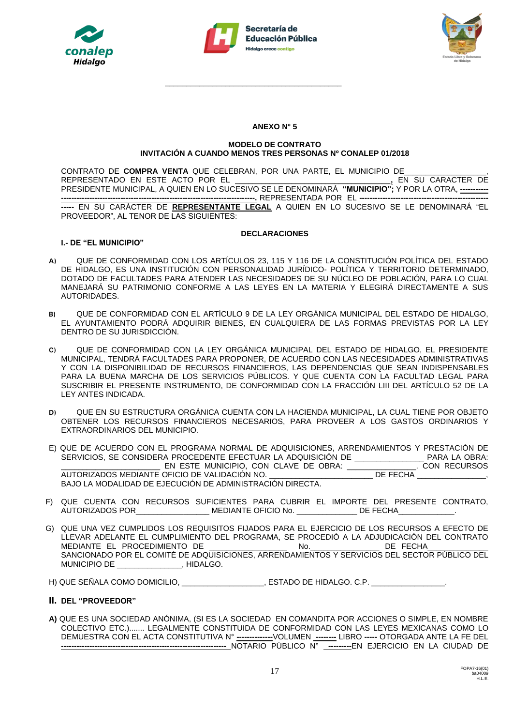



\_\_\_\_\_\_\_\_\_\_\_\_\_\_\_\_\_\_\_\_\_\_\_\_\_\_\_\_\_\_\_\_\_\_\_\_\_\_\_\_\_



## **ANEXO N° 5**

#### **MODELO DE CONTRATO INVITACIÓN A CUANDO MENOS TRES PERSONAS Nº CONALEP 01/2018**

CONTRATO DE **COMPRA VENTA** QUE CELEBRAN, POR UNA PARTE, EL MUNICIPIO DE\_\_\_\_\_\_\_\_\_\_\_\_\_\_\_\_\_\_\_, REPRESENTADO EN ESTE ACTO POR EL \_\_\_\_\_\_\_\_\_\_\_\_\_\_\_\_\_\_\_\_\_\_\_\_\_\_\_\_\_\_\_\_\_\_\_\_**,** EN SU CARACTER DE PRESIDENTE MUNICIPAL, A QUIEN EN LO SUCESIVO SE LE DENOMINARÁ **"MUNICIPIO";** Y POR LA OTRA, **----------- ---------------------------------------------------------------------------.** REPRESENTADA POR EL **-------------------------------------------------- -----** EN SU CARÁCTER DE **REPRESENTANTE LEGAL** A QUIEN EN LO SUCESIVO SE LE DENOMINARÁ "EL PROVEEDOR", AL TENOR DE LAS SIGUIENTES:

## **DECLARACIONES**

# **I.- DE "EL MUNICIPIO"**

- **A)** QUE DE CONFORMIDAD CON LOS ARTÍCULOS 23, 115 Y 116 DE LA CONSTITUCIÓN POLÍTICA DEL ESTADO DE HIDALGO, ES UNA INSTITUCIÓN CON PERSONALIDAD JURÍDICO- POLÍTICA Y TERRITORIO DETERMINADO, DOTADO DE FACULTADES PARA ATENDER LAS NECESIDADES DE SU NÚCLEO DE POBLACIÓN, PARA LO CUAL MANEJARÁ SU PATRIMONIO CONFORME A LAS LEYES EN LA MATERIA Y ELEGIRÁ DIRECTAMENTE A SUS AUTORIDADES.
- **B)** QUE DE CONFORMIDAD CON EL ARTÍCULO 9 DE LA LEY ORGÁNICA MUNICIPAL DEL ESTADO DE HIDALGO, EL AYUNTAMIENTO PODRÁ ADQUIRIR BIENES, EN CUALQUIERA DE LAS FORMAS PREVISTAS POR LA LEY DENTRO DE SU JURISDICCIÓN.
- **C)** QUE DE CONFORMIDAD CON LA LEY ORGÁNICA MUNICIPAL DEL ESTADO DE HIDALGO, EL PRESIDENTE MUNICIPAL, TENDRÁ FACULTADES PARA PROPONER, DE ACUERDO CON LAS NECESIDADES ADMINISTRATIVAS Y CON LA DISPONIBILIDAD DE RECURSOS FINANCIEROS, LAS DEPENDENCIAS QUE SEAN INDISPENSABLES PARA LA BUENA MARCHA DE LOS SERVICIOS PÚBLICOS. Y QUE CUENTA CON LA FACULTAD LEGAL PARA SUSCRIBIR EL PRESENTE INSTRUMENTO, DE CONFORMIDAD CON LA FRACCIÓN LIII DEL ARTÍCULO 52 DE LA LEY ANTES INDICADA.
- **D)** QUE EN SU ESTRUCTURA ORGÁNICA CUENTA CON LA HACIENDA MUNICIPAL, LA CUAL TIENE POR OBJETO OBTENER LOS RECURSOS FINANCIEROS NECESARIOS, PARA PROVEER A LOS GASTOS ORDINARIOS Y EXTRAORDINARIOS DEL MUNICIPIO.
- E) QUE DE ACUERDO CON EL PROGRAMA NORMAL DE ADQUISICIONES, ARRENDAMIENTOS Y PRESTACIÓN DE SERVICIOS, SE CONSIDERA PROCEDENTE EFECTUAR LA ADQUISICIÓN DE \_\_\_\_\_\_\_\_\_\_\_\_\_\_\_\_\_\_\_ PARA LA OBRA:<br>EN ESTE MUNICIPIO. CON CLAVE DE OBRA: CON RECURSOS \_\_\_\_\_\_\_\_\_\_\_\_\_\_\_\_\_\_\_\_\_\_\_ EN ESTE MUNICIPIO, CON CLAVE DE OBRA: \_\_\_\_\_\_\_\_\_\_\_\_\_\_\_\_. CON RECURSOS AUTORIZADOS MEDIANTE OFICIO DE VALIDACIÓN NO. \_\_\_\_\_\_\_\_\_\_\_\_\_\_\_\_\_\_\_\_\_\_\_\_\_\_\_\_\_ DE FECHA \_\_ BAJO LA MODALIDAD DE EJECUCIÓN DE ADMINISTRACIÓN DIRECTA.
- F) QUE CUENTA CON RECURSOS SUFICIENTES PARA CUBRIR EL IMPORTE DEL PRESENTE CONTRATO, AUTORIZADOS POR\_\_\_\_\_\_\_\_\_\_\_\_\_\_\_\_\_\_\_\_\_\_ MEDIANTE OFICIO No. \_\_\_\_\_\_\_\_\_\_\_\_\_\_\_\_\_ DE FECHA\_
- G) QUE UNA VEZ CUMPLIDOS LOS REQUISITOS FIJADOS PARA EL EJERCICIO DE LOS RECURSOS A EFECTO DE LLEVAR ADELANTE EL CUMPLIMIENTO DEL PROGRAMA, SE PROCEDIÓ A LA ADJUDICACIÓN DEL CONTRATO MEDIANTE EL PROCEDIMIENTO DE **\_\_\_\_\_\_** SANCIONADO POR EL COMITÉ DE ADQUISICIONES, ARRENDAMIENTOS Y SERVICIOS DEL SECTOR PÚBLICO DEL MUNICIPIO DE \_\_\_\_\_\_\_\_\_\_\_\_\_\_\_, HIDALGO.

H) QUE SEÑALA COMO DOMICILIO, ESTADO DE HIDALGO. C.P.

# **II. DEL "PROVEEDOR"**

**A)** QUE ES UNA SOCIEDAD ANÓNIMA, (SI ES LA SOCIEDAD EN COMANDITA POR ACCIONES O SIMPLE, EN NOMBRE COLECTIVO ETC.)....... LEGALMENTE CONSTITUIDA DE CONFORMIDAD CON LAS LEYES MEXICANAS COMO LO DEMUESTRA CON EL ACTA CONSTITUTIVA N° **--------------**VOLUMEN **--------** LIBRO **-----** OTORGADA ANTE LA FE DEL **----------------------------------------------------------------** NOTARIO PÚBLICO N° **---------**EN EJERCICIO EN LA CIUDAD DE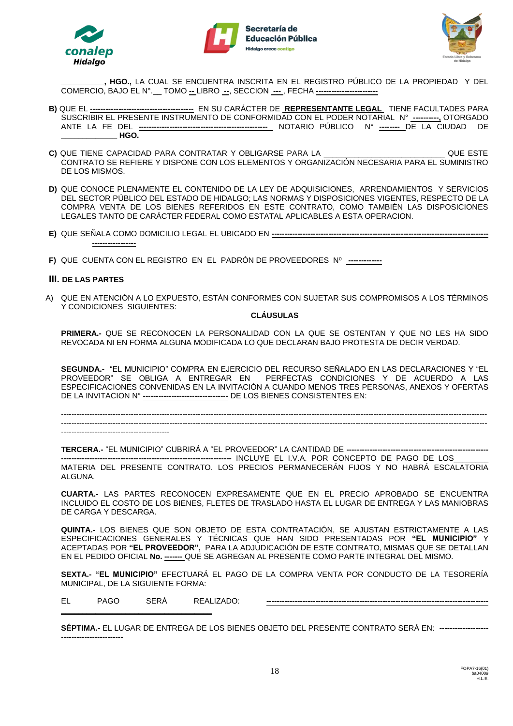





**\_\_\_\_\_\_\_\_\_\_, HGO.,** LA CUAL SE ENCUENTRA INSCRITA EN EL REGISTRO PÚBLICO DE LA PROPIEDAD Y DEL COMERCIO, BAJO EL N°.\_\_ TOMO **--** LIBRO **--**, SECCION **---** , FECHA **------------------------**

- **B)** QUE EL **----------------------------------------** EN SU CARÁCTER DE **REPRESENTANTE LEGAL** TIENE FACULTADES PARA SUSCRIBIR EL PRESENTE INSTRUMENTO DE CONFORMIDAD CON EL PODER NOTARIAL N° **----------,** OTORGADO ANTE LA FE DEL **--------------------------------------------------** NOTARIO PÚBLICO N° **--------** DE LA CIUDAD DE **\_\_\_\_\_\_\_\_\_\_\_\_\_ HGO.**
- **C)** QUE TIENE CAPACIDAD PARA CONTRATAR Y OBLIGARSE PARA LA \_\_\_\_\_\_\_\_\_\_\_\_\_\_\_\_\_\_\_\_\_\_\_\_\_\_\_\_ QUE ESTE CONTRATO SE REFIERE Y DISPONE CON LOS ELEMENTOS Y ORGANIZACIÓN NECESARIA PARA EL SUMINISTRO DE LOS MISMOS.
- **D)** QUE CONOCE PLENAMENTE EL CONTENIDO DE LA LEY DE ADQUISICIONES, ARRENDAMIENTOS Y SERVICIOS DEL SECTOR PÚBLICO DEL ESTADO DE HIDALGO; LAS NORMAS Y DISPOSICIONES VIGENTES, RESPECTO DE LA COMPRA VENTA DE LOS BIENES REFERIDOS EN ESTE CONTRATO, COMO TAMBIÉN LAS DISPOSICIONES LEGALES TANTO DE CARÁCTER FEDERAL COMO ESTATAL APLICABLES A ESTA OPERACION.
- **E)** QUE SEÑALA COMO DOMICILIO LEGAL EL UBICADO EN **------------------------------------------------------------------------------------ -----------------**
- **F)** QUE CUENTA CON EL REGISTRO EN EL PADRÓN DE PROVEEDORES Nº **-------------**

## **III. DE LAS PARTES**

A) QUE EN ATENCIÓN A LO EXPUESTO, ESTÁN CONFORMES CON SUJETAR SUS COMPROMISOS A LOS TÉRMINOS Y CONDICIONES SIGUIENTES:

## **CLÁUSULAS**

**PRIMERA.-** QUE SE RECONOCEN LA PERSONALIDAD CON LA QUE SE OSTENTAN Y QUE NO LES HA SIDO REVOCADA NI EN FORMA ALGUNA MODIFICADA LO QUE DECLARAN BAJO PROTESTA DE DECIR VERDAD.

**SEGUNDA.-** "EL MUNICIPIO" COMPRA EN EJERCICIO DEL RECURSO SEÑALADO EN LAS DECLARACIONES Y "EL PROVEEDOR" SE OBLIGA A ENTREGAR EN PERFECTAS CONDICIONES Y DE ACUERDO A LAS ESPECIFICACIONES CONVENIDAS EN LA INVITACIÓN A CUANDO MENOS TRES PERSONAS, ANEXOS Y OFERTAS DE LA INVITACION N° **---------------------------------** DE LOS BIENES CONSISTENTES EN:

---------------------------------------------------------------------------------------------------------------------------------------------------------------------  $-1\leq i\leq n-1\leq n-1\leq n-1\leq n-1\leq n-1\leq n-1\leq n-1\leq n-1\leq n-1\leq n-1\leq n-1\leq n-1\leq n-1\leq n-1\leq n-1\leq n-1\leq n-1\leq n-1\leq n-1\leq n-1\leq n-1\leq n-1\leq n-1\leq n-1\leq n-1\leq n-1\leq n-1\leq n-1\leq n-1\leq n-1\leq n-1\leq n-1\leq n-1\leq n-1\leq n-1\leq n$ 

------------------------------------------

**TERCERA.-** "EL MUNICIPIO" CUBRIRÁ A "EL PROVEEDOR" LA CANTIDAD DE **-------------------------------------------------------**

**------------------------------------------------------------------** INCLUYE EL I.V.A. POR CONCEPTO DE PAGO DE LOS\_\_\_\_\_\_\_\_ MATERIA DEL PRESENTE CONTRATO. LOS PRECIOS PERMANECERÁN FIJOS Y NO HABRÁ ESCALATORIA ALGUNA.

**CUARTA.-** LAS PARTES RECONOCEN EXPRESAMENTE QUE EN EL PRECIO APROBADO SE ENCUENTRA INCLUIDO EL COSTO DE LOS BIENES, FLETES DE TRASLADO HASTA EL LUGAR DE ENTREGA Y LAS MANIOBRAS DE CARGA Y DESCARGA.

**QUINTA.-** LOS BIENES QUE SON OBJETO DE ESTA CONTRATACIÓN, SE AJUSTAN ESTRICTAMENTE A LAS ESPECIFICACIONES GENERALES Y TÉCNICAS QUE HAN SIDO PRESENTADAS POR **"EL MUNICIPIO"** Y ACEPTADAS POR **"EL PROVEEDOR",** PARA LA ADJUDICACIÓN DE ESTE CONTRATO, MISMAS QUE SE DETALLAN EN EL PEDIDO OFICIAL **No. -------** QUE SE AGREGAN AL PRESENTE COMO PARTE INTEGRAL DEL MISMO.

**SEXTA.- "EL MUNICIPIO"** EFECTUARÁ EL PAGO DE LA COMPRA VENTA POR CONDUCTO DE LA TESORERÍA MUNICIPAL, DE LA SIGUIENTE FORMA:

EL PAGO SERÁ REALIZADO: **-------------------------------------------------------------------------------------- \_\_\_\_\_\_\_\_\_\_\_\_\_\_\_\_\_\_\_\_\_\_\_\_\_\_\_\_\_\_\_\_\_\_\_**

**SÉPTIMA.-** EL LUGAR DE ENTREGA DE LOS BIENES OBJETO DEL PRESENTE CONTRATO SERÁ EN: **------------------- ------------------------**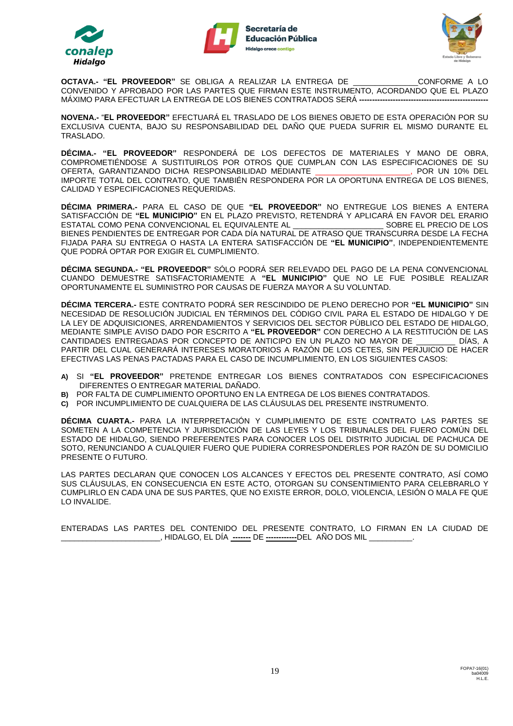





**OCTAVA.- "EL PROVEEDOR"** SE OBLIGA A REALIZAR LA ENTREGA DE \_\_\_\_\_\_\_\_\_\_\_\_\_\_\_CONFORME A LO CONVENIDO Y APROBADO POR LAS PARTES QUE FIRMAN ESTE INSTRUMENTO, ACORDANDO QUE EL PLAZO MÁXIMO PARA EFECTUAR LA ENTREGA DE LOS BIENES CONTRATADOS SERÁ ---

**NOVENA.-** "**EL PROVEEDOR"** EFECTUARÁ EL TRASLADO DE LOS BIENES OBJETO DE ESTA OPERACIÓN POR SU EXCLUSIVA CUENTA, BAJO SU RESPONSABILIDAD DEL DAÑO QUE PUEDA SUFRIR EL MISMO DURANTE EL TRASLADO.

**DÉCIMA.- "EL PROVEEDOR"** RESPONDERÁ DE LOS DEFECTOS DE MATERIALES Y MANO DE OBRA, COMPROMETIÉNDOSE A SUSTITUIRLOS POR OTROS QUE CUMPLAN CON LAS ESPECIFICACIONES DE SU OFERTA, GARANTIZANDO DICHA RESPONSABILIDAD MEDIANTE \_\_\_\_\_\_\_\_\_\_\_\_\_\_\_\_\_\_\_\_\_\_, POR UN 10% DEL IMPORTE TOTAL DEL CONTRATO, QUE TAMBIÉN RESPONDERA POR LA OPORTUNA ENTREGA DE LOS BIENES, CALIDAD Y ESPECIFICACIONES REQUERIDAS.

**DÉCIMA PRIMERA.-** PARA EL CASO DE QUE **"EL PROVEEDOR"** NO ENTREGUE LOS BIENES A ENTERA SATISFACCIÓN DE **"EL MUNICIPIO"** EN EL PLAZO PREVISTO, RETENDRÁ Y APLICARÁ EN FAVOR DEL ERARIO ESTATAL COMO PENA CONVENCIONAL EL EQUIVALENTE AL  $\qquad \qquad$ SOBRE EL PRECIO DE LOS BIENES PENDIENTES DE ENTREGAR POR CADA DÍA NATURAL DE ATRASO QUE TRANSCURRA DESDE LA FECHA FIJADA PARA SU ENTREGA O HASTA LA ENTERA SATISFACCIÓN DE **"EL MUNICIPIO"**, INDEPENDIENTEMENTE QUE PODRÁ OPTAR POR EXIGIR EL CUMPLIMIENTO.

**DÉCIMA SEGUNDA.- "EL PROVEEDOR"** SÓLO PODRÁ SER RELEVADO DEL PAGO DE LA PENA CONVENCIONAL CUANDO DEMUESTRE SATISFACTORIAMENTE A **"EL MUNICIPIO"** QUE NO LE FUE POSIBLE REALIZAR OPORTUNAMENTE EL SUMINISTRO POR CAUSAS DE FUERZA MAYOR A SU VOLUNTAD.

**DÉCIMA TERCERA.-** ESTE CONTRATO PODRÁ SER RESCINDIDO DE PLENO DERECHO POR **"EL MUNICIPIO"** SIN NECESIDAD DE RESOLUCIÓN JUDICIAL EN TÉRMINOS DEL CÓDIGO CIVIL PARA EL ESTADO DE HIDALGO Y DE LA LEY DE ADQUISICIONES, ARRENDAMIENTOS Y SERVICIOS DEL SECTOR PÙBLICO DEL ESTADO DE HIDALGO, MEDIANTE SIMPLE AVISO DADO POR ESCRITO A **"EL PROVEEDOR"** CON DERECHO A LA RESTITUCIÓN DE LAS CANTIDADES ENTREGADAS POR CONCEPTO DE ANTICIPO EN UN PLAZO NO MAYOR DE \_\_\_\_\_\_\_\_\_ DÍAS, A PARTIR DEL CUAL GENERARÁ INTERESES MORATORIOS A RAZÓN DE LOS CETES, SIN PERJUICIO DE HACER EFECTIVAS LAS PENAS PACTADAS PARA EL CASO DE INCUMPLIMIENTO, EN LOS SIGUIENTES CASOS:

- **A)** SI **"EL PROVEEDOR"** PRETENDE ENTREGAR LOS BIENES CONTRATADOS CON ESPECIFICACIONES DIFERENTES O ENTREGAR MATERIAL DAÑADO.
- **B)** POR FALTA DE CUMPLIMIENTO OPORTUNO EN LA ENTREGA DE LOS BIENES CONTRATADOS.
- **C)** POR INCUMPLIMIENTO DE CUALQUIERA DE LAS CLÁUSULAS DEL PRESENTE INSTRUMENTO.

**DÉCIMA CUARTA.-** PARA LA INTERPRETACIÓN Y CUMPLIMIENTO DE ESTE CONTRATO LAS PARTES SE SOMETEN A LA COMPETENCIA Y JURISDICCIÓN DE LAS LEYES Y LOS TRIBUNALES DEL FUERO COMÚN DEL ESTADO DE HIDALGO, SIENDO PREFERENTES PARA CONOCER LOS DEL DISTRITO JUDICIAL DE PACHUCA DE SOTO, RENUNCIANDO A CUALQUIER FUERO QUE PUDIERA CORRESPONDERLES POR RAZÓN DE SU DOMICILIO PRESENTE O FUTURO.

LAS PARTES DECLARAN QUE CONOCEN LOS ALCANCES Y EFECTOS DEL PRESENTE CONTRATO, ASÍ COMO SUS CLÁUSULAS, EN CONSECUENCIA EN ESTE ACTO, OTORGAN SU CONSENTIMIENTO PARA CELEBRARLO Y CUMPLIRLO EN CADA UNA DE SUS PARTES, QUE NO EXISTE ERROR, DOLO, VIOLENCIA, LESIÓN O MALA FE QUE LO INVALIDE.

ENTERADAS LAS PARTES DEL CONTENIDO DEL PRESENTE CONTRATO, LO FIRMAN EN LA CIUDAD DE \_\_\_\_\_\_\_\_\_\_\_\_\_\_\_\_\_\_\_\_\_\_\_, HIDALGO, EL DÍA **-------** DE **------------**DEL AÑO DOS MIL \_\_\_\_\_\_\_\_\_\_.